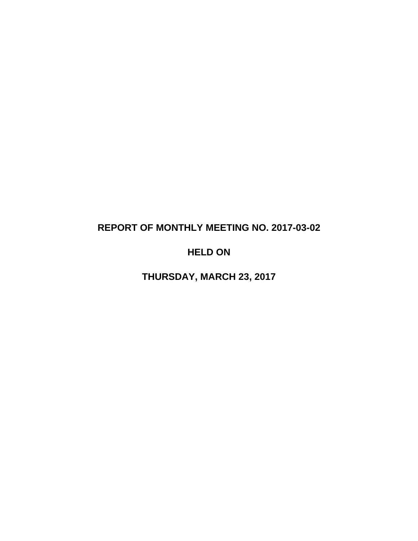# **REPORT OF MONTHLY MEETING NO. 2017-03-02**

# **HELD ON**

**THURSDAY, MARCH 23, 2017**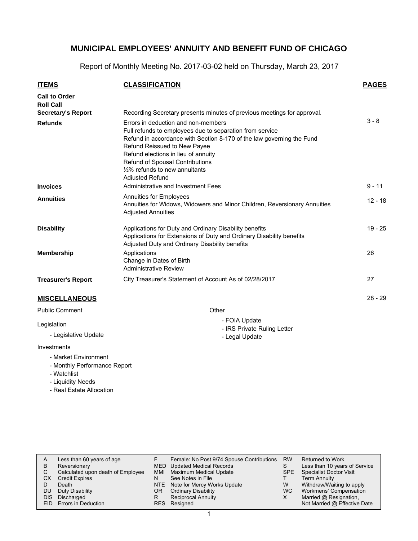Report of Monthly Meeting No. 2017-03-02 held on Thursday, March 23, 2017

| <b>ITEMS</b>                             | <b>CLASSIFICATION</b>                                                                                                                                                                                                                                                                                                                             | <b>PAGES</b> |
|------------------------------------------|---------------------------------------------------------------------------------------------------------------------------------------------------------------------------------------------------------------------------------------------------------------------------------------------------------------------------------------------------|--------------|
| <b>Call to Order</b><br><b>Roll Call</b> |                                                                                                                                                                                                                                                                                                                                                   |              |
| <b>Secretary's Report</b>                | Recording Secretary presents minutes of previous meetings for approval.                                                                                                                                                                                                                                                                           |              |
| <b>Refunds</b>                           | Errors in deduction and non-members<br>Full refunds to employees due to separation from service<br>Refund in accordance with Section 8-170 of the law governing the Fund<br>Refund Reissued to New Payee<br>Refund elections in lieu of annuity<br>Refund of Spousal Contributions<br>$1/2\%$ refunds to new annuitants<br><b>Adiusted Refund</b> | $3 - 8$      |
| <b>Invoices</b>                          | Administrative and Investment Fees                                                                                                                                                                                                                                                                                                                | $9 - 11$     |
| <b>Annuities</b>                         | Annuities for Employees<br>Annuities for Widows, Widowers and Minor Children, Reversionary Annuities<br><b>Adjusted Annuities</b>                                                                                                                                                                                                                 | $12 - 18$    |
| <b>Disability</b>                        | Applications for Duty and Ordinary Disability benefits<br>Applications for Extensions of Duty and Ordinary Disability benefits<br>Adjusted Duty and Ordinary Disability benefits                                                                                                                                                                  | $19 - 25$    |
| <b>Membership</b>                        | Applications<br>Change in Dates of Birth<br><b>Administrative Review</b>                                                                                                                                                                                                                                                                          | 26           |
| <b>Treasurer's Report</b>                | City Treasurer's Statement of Account As of 02/28/2017                                                                                                                                                                                                                                                                                            | 27           |
| <b>MISCELLANEOUS</b>                     |                                                                                                                                                                                                                                                                                                                                                   | $28 - 29$    |
| <b>Public Comment</b>                    | Other                                                                                                                                                                                                                                                                                                                                             |              |
| Legislation<br>- Legislative Update      | - FOIA Update<br>- IRS Private Ruling Letter<br>- Legal Update                                                                                                                                                                                                                                                                                    |              |
| Investments                              |                                                                                                                                                                                                                                                                                                                                                   |              |

- Market Environment
- Monthly Performance Report
- Watchlist
- Liquidity Needs
- Real Estate Allocation

| A<br>В<br>СX             | Less than 60 years of age<br>Reversionary<br>Calculated upon death of Employee<br><b>Credit Expires</b> | MMI<br>N        | Female: No Post 9/74 Spouse Contributions<br>MED Updated Medical Records<br><b>Maximum Medical Update</b><br>See Notes in File | <b>RW</b><br>SPE    | Returned to Work<br>Less than 10 years of Service<br><b>Specialist Doctor Visit</b><br><b>Term Annuity</b>    |
|--------------------------|---------------------------------------------------------------------------------------------------------|-----------------|--------------------------------------------------------------------------------------------------------------------------------|---------------------|---------------------------------------------------------------------------------------------------------------|
| DU<br><b>DIS</b><br>FID. | Death<br>Duty Disability<br>Discharged<br><b>Errors in Deduction</b>                                    | NTE<br>OR.<br>R | Note for Mercy Works Update<br><b>Ordinary Disability</b><br><b>Reciprocal Annuity</b><br>RES Resigned                         | W<br><b>WC</b><br>х | Withdraw/Waiting to apply<br>Workmens' Compensation<br>Married @ Resignation,<br>Not Married @ Effective Date |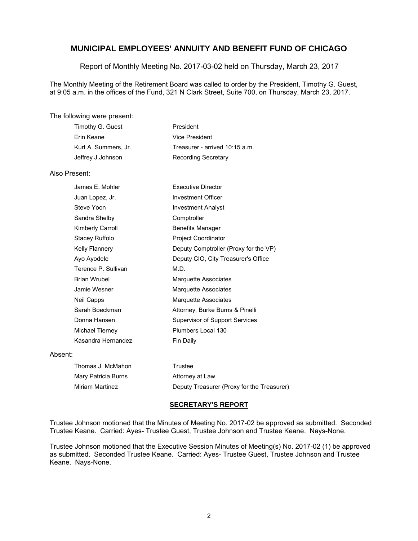### Report of Monthly Meeting No. 2017-03-02 held on Thursday, March 23, 2017

The Monthly Meeting of the Retirement Board was called to order by the President, Timothy G. Guest, at 9:05 a.m. in the offices of the Fund, 321 N Clark Street, Suite 700, on Thursday, March 23, 2017.

#### The following were present:

| Timothy G. Guest     | President                      |
|----------------------|--------------------------------|
| Erin Keane           | Vice President                 |
| Kurt A. Summers, Jr. | Treasurer - arrived 10:15 a.m. |
| Jeffrey J.Johnson    | <b>Recording Secretary</b>     |

#### Also Present:

| James E. Mohler         | <b>Executive Director</b>             |
|-------------------------|---------------------------------------|
| Juan Lopez, Jr.         | <b>Investment Officer</b>             |
| Steve Yoon              | Investment Analyst                    |
| Sandra Shelby           | Comptroller                           |
| <b>Kimberly Carroll</b> | <b>Benefits Manager</b>               |
| Stacey Ruffolo          | <b>Project Coordinator</b>            |
| <b>Kelly Flannery</b>   | Deputy Comptroller (Proxy for the VP) |
| Ayo Ayodele             | Deputy CIO, City Treasurer's Office   |
| Terence P. Sullivan     | M.D.                                  |
| <b>Brian Wrubel</b>     | <b>Marquette Associates</b>           |
| Jamie Wesner            | <b>Marquette Associates</b>           |
| Neil Capps              | <b>Marquette Associates</b>           |
| Sarah Boeckman          | Attorney, Burke Burns & Pinelli       |
| Donna Hansen            | Supervisor of Support Services        |
| Michael Tierney         | Plumbers Local 130                    |
| Kasandra Hernandez      | Fin Daily                             |
|                         |                                       |

#### Absent:

| Thomas J. McMahon.  | Trustee                                    |
|---------------------|--------------------------------------------|
| Mary Patricia Burns | Attorney at Law                            |
| Miriam Martinez     | Deputy Treasurer (Proxy for the Treasurer) |

#### **SECRETARY'S REPORT**

Trustee Johnson motioned that the Minutes of Meeting No. 2017-02 be approved as submitted. Seconded Trustee Keane. Carried: Ayes- Trustee Guest, Trustee Johnson and Trustee Keane. Nays-None.

Trustee Johnson motioned that the Executive Session Minutes of Meeting(s) No. 2017-02 (1) be approved as submitted. Seconded Trustee Keane. Carried: Ayes- Trustee Guest, Trustee Johnson and Trustee Keane. Nays-None.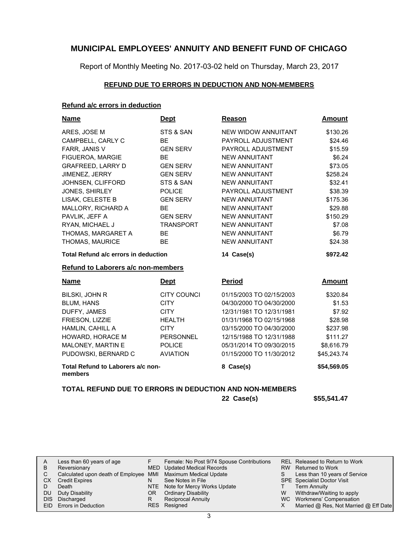Report of Monthly Meeting No. 2017-03-02 held on Thursday, March 23, 2017

### **REFUND DUE TO ERRORS IN DEDUCTION AND NON-MEMBERS**

### **Refund a/c errors in deduction**

| <b>Name</b>              | Dept             | Reason               | Amount   |
|--------------------------|------------------|----------------------|----------|
| ARES, JOSE M             | STS & SAN        | NEW WIDOW ANNUITANT  | \$130.26 |
| CAMPBELL, CARLY C        | BE.              | PAYROLL ADJUSTMENT   | \$24.46  |
| <b>FARR. JANIS V</b>     | <b>GEN SERV</b>  | PAYROLL ADJUSTMENT   | \$15.59  |
| FIGUEROA, MARGIE         | <b>BE</b>        | <b>NEW ANNUITANT</b> | \$6.24   |
| <b>GRAFREED, LARRY D</b> | <b>GEN SERV</b>  | <b>NEW ANNUITANT</b> | \$73.05  |
| JIMENEZ, JERRY           | <b>GEN SERV</b>  | <b>NEW ANNUITANT</b> | \$258.24 |
| JOHNSEN, CLIFFORD        | STS & SAN        | <b>NEW ANNUITANT</b> | \$32.41  |
| <b>JONES, SHIRLEY</b>    | <b>POLICE</b>    | PAYROLL ADJUSTMENT   | \$38.39  |
| LISAK, CELESTE B         | <b>GEN SERV</b>  | <b>NEW ANNUITANT</b> | \$175.36 |
| MALLORY, RICHARD A       | <b>BE</b>        | <b>NEW ANNUITANT</b> | \$29.88  |
| PAVLIK, JEFF A           | <b>GEN SERV</b>  | <b>NEW ANNUITANT</b> | \$150.29 |
| RYAN, MICHAEL J          | <b>TRANSPORT</b> | <b>NEW ANNUITANT</b> | \$7.08   |
| THOMAS, MARGARET A       | <b>BE</b>        | <b>NEW ANNUITANT</b> | \$6.79   |
| <b>THOMAS, MAURICE</b>   | BE.              | <b>NEW ANNUITANT</b> | \$24.38  |
|                          |                  |                      |          |

### **Total Refund a/c errors in deduction 14 Case(s) \$972.42**

#### **Refund to Laborers a/c non-members**

| <b>Name</b>                       | Dept               | <b>Period</b>            | Amount      |
|-----------------------------------|--------------------|--------------------------|-------------|
| <b>BILSKI, JOHN R</b>             | <b>CITY COUNCI</b> | 01/15/2003 TO 02/15/2003 | \$320.84    |
| <b>BLUM, HANS</b>                 | <b>CITY</b>        | 04/30/2000 TO 04/30/2000 | \$1.53      |
| DUFFY, JAMES                      | <b>CITY</b>        | 12/31/1981 TO 12/31/1981 | \$7.92      |
| FRIESON, LIZZIE                   | <b>HEALTH</b>      | 01/31/1968 TO 02/15/1968 | \$28.98     |
| HAMLIN, CAHILL A                  | <b>CITY</b>        | 03/15/2000 TO 04/30/2000 | \$237.98    |
| <b>HOWARD, HORACE M</b>           | <b>PERSONNEL</b>   | 12/15/1988 TO 12/31/1988 | \$111.27    |
| MALONEY, MARTIN E                 | POLICE             | 05/31/2014 TO 09/30/2015 | \$8.616.79  |
| PUDOWSKI, BERNARD C               | <b>AVIATION</b>    | 01/15/2000 TO 11/30/2012 | \$45,243.74 |
| Total Refund to Laborers a/c non- |                    | 8 Case(s)                | \$54,569.05 |

**members**

### **TOTAL REFUND DUE TO ERRORS IN DEDUCTION AND NON-MEMBERS**

**22 Case(s) \$55,541.47**

| A         | Less than 60 years of age                                    |     | Female: No Post 9/74 Spouse Contributions |   | REL Released to Return to Work        |
|-----------|--------------------------------------------------------------|-----|-------------------------------------------|---|---------------------------------------|
| B         | Reversionary                                                 |     | MED Updated Medical Records               |   | RW Returned to Work                   |
|           | Calculated upon death of Employee MMI Maximum Medical Update |     |                                           |   | Less than 10 years of Service         |
| <b>CX</b> | <b>Credit Expires</b>                                        |     | See Notes in File                         |   | <b>SPE</b> Specialist Doctor Visit    |
|           | Death                                                        |     | NTE Note for Mercy Works Update           |   | <b>Term Annuity</b>                   |
| DU.       | Duty Disability                                              | OR. | <b>Ordinary Disability</b>                | W | Withdraw/Waiting to apply             |
|           | DIS Discharged                                               |     | <b>Reciprocal Annuity</b>                 |   | WC Workmens' Compensation             |
|           | EID Errors in Deduction                                      |     | RES Resigned                              |   | Married @ Res, Not Married @ Eff Date |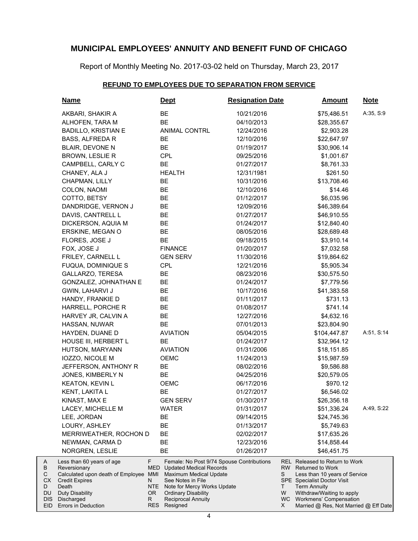Report of Monthly Meeting No. 2017-03-02 held on Thursday, March 23, 2017

## **REFUND TO EMPLOYEES DUE TO SEPARATION FROM SERVICE**

| <b>Name</b>                                                                                                                                           |                                   | <b>Dept</b>                                                                                                                                                                                                          | <b>Resignation Date</b> |                      | <b>Amount</b>                                                                                                                                                                                                     | <b>Note</b> |
|-------------------------------------------------------------------------------------------------------------------------------------------------------|-----------------------------------|----------------------------------------------------------------------------------------------------------------------------------------------------------------------------------------------------------------------|-------------------------|----------------------|-------------------------------------------------------------------------------------------------------------------------------------------------------------------------------------------------------------------|-------------|
| AKBARI, SHAKIR A                                                                                                                                      |                                   | <b>BE</b>                                                                                                                                                                                                            | 10/21/2016              |                      | \$75,486.51                                                                                                                                                                                                       | A:35, S:9   |
| ALHOFEN, TARA M                                                                                                                                       |                                   | <b>BE</b>                                                                                                                                                                                                            | 04/10/2013              |                      | \$28,355.67                                                                                                                                                                                                       |             |
| <b>BADILLO, KRISTIAN E</b>                                                                                                                            |                                   | <b>ANIMAL CONTRL</b>                                                                                                                                                                                                 | 12/24/2016              |                      | \$2,903.28                                                                                                                                                                                                        |             |
| <b>BASS, ALFREDA R</b>                                                                                                                                |                                   | BE                                                                                                                                                                                                                   | 12/10/2016              |                      | \$22,647.97                                                                                                                                                                                                       |             |
| BLAIR, DEVONE N                                                                                                                                       |                                   | BE                                                                                                                                                                                                                   | 01/19/2017              |                      | \$30,906.14                                                                                                                                                                                                       |             |
| BROWN, LESLIE R                                                                                                                                       |                                   | <b>CPL</b>                                                                                                                                                                                                           | 09/25/2016              |                      | \$1,001.67                                                                                                                                                                                                        |             |
| CAMPBELL, CARLY C                                                                                                                                     |                                   | BE                                                                                                                                                                                                                   | 01/27/2017              |                      | \$8,761.33                                                                                                                                                                                                        |             |
| CHANEY, ALA J                                                                                                                                         |                                   | <b>HEALTH</b>                                                                                                                                                                                                        | 12/31/1981              |                      | \$261.50                                                                                                                                                                                                          |             |
| CHAPMAN, LILLY                                                                                                                                        |                                   | BE                                                                                                                                                                                                                   | 10/31/2016              |                      | \$13,708.46                                                                                                                                                                                                       |             |
| COLON, NAOMI                                                                                                                                          |                                   | <b>BE</b>                                                                                                                                                                                                            | 12/10/2016              |                      | \$14.46                                                                                                                                                                                                           |             |
| COTTO, BETSY                                                                                                                                          |                                   | BE                                                                                                                                                                                                                   | 01/12/2017              |                      | \$6,035.96                                                                                                                                                                                                        |             |
| DANDRIDGE, VERNON J                                                                                                                                   |                                   | <b>BE</b>                                                                                                                                                                                                            | 12/09/2016              |                      | \$46,389.64                                                                                                                                                                                                       |             |
| DAVIS, CANTRELL L                                                                                                                                     |                                   | BE                                                                                                                                                                                                                   | 01/27/2017              |                      | \$46,910.55                                                                                                                                                                                                       |             |
| DICKERSON, AQUIA M                                                                                                                                    |                                   | BE                                                                                                                                                                                                                   | 01/24/2017              |                      | \$12,840.40                                                                                                                                                                                                       |             |
| ERSKINE, MEGAN O                                                                                                                                      |                                   | <b>BE</b>                                                                                                                                                                                                            | 08/05/2016              |                      | \$28,689.48                                                                                                                                                                                                       |             |
| FLORES, JOSE J                                                                                                                                        |                                   | <b>BE</b>                                                                                                                                                                                                            | 09/18/2015              |                      | \$3,910.14                                                                                                                                                                                                        |             |
| FOX, JOSE J                                                                                                                                           |                                   | <b>FINANCE</b>                                                                                                                                                                                                       | 01/20/2017              |                      | \$7,032.58                                                                                                                                                                                                        |             |
| FRILEY, CARNELL L                                                                                                                                     |                                   | <b>GEN SERV</b>                                                                                                                                                                                                      | 11/30/2016              |                      | \$19,864.62                                                                                                                                                                                                       |             |
| FUQUA, DOMINIQUE S                                                                                                                                    |                                   | <b>CPL</b>                                                                                                                                                                                                           | 12/21/2016              |                      | \$5,905.34                                                                                                                                                                                                        |             |
| GALLARZO, TERESA                                                                                                                                      |                                   | BE                                                                                                                                                                                                                   | 08/23/2016              |                      | \$30,575.50                                                                                                                                                                                                       |             |
| GONZALEZ, JOHNATHAN E                                                                                                                                 |                                   | BE                                                                                                                                                                                                                   | 01/24/2017              |                      | \$7,779.56                                                                                                                                                                                                        |             |
| <b>GWIN, LAHARVI J</b>                                                                                                                                |                                   | BE                                                                                                                                                                                                                   | 10/17/2016              |                      | \$41,383.58                                                                                                                                                                                                       |             |
| HANDY, FRANKIE D                                                                                                                                      |                                   | BE                                                                                                                                                                                                                   | 01/11/2017              |                      | \$731.13                                                                                                                                                                                                          |             |
| HARRELL, PORCHE R                                                                                                                                     |                                   | BE                                                                                                                                                                                                                   | 01/08/2017              |                      | \$741.14                                                                                                                                                                                                          |             |
| HARVEY JR, CALVIN A                                                                                                                                   |                                   | BE                                                                                                                                                                                                                   | 12/27/2016              |                      | \$4,632.16                                                                                                                                                                                                        |             |
| HASSAN, NUWAR                                                                                                                                         |                                   | <b>BE</b>                                                                                                                                                                                                            | 07/01/2013              |                      | \$23,804.90                                                                                                                                                                                                       |             |
| HAYDEN, DUANE D                                                                                                                                       |                                   | <b>AVIATION</b>                                                                                                                                                                                                      | 05/04/2015              |                      | \$104,447.87                                                                                                                                                                                                      | A:51, S:14  |
| HOUSE III, HERBERT L                                                                                                                                  |                                   | <b>BE</b>                                                                                                                                                                                                            | 01/24/2017              |                      | \$32,964.12                                                                                                                                                                                                       |             |
| HUTSON, MARYANN                                                                                                                                       |                                   | <b>AVIATION</b>                                                                                                                                                                                                      | 01/31/2006              |                      | \$18,151.85                                                                                                                                                                                                       |             |
| IOZZO, NICOLE M                                                                                                                                       |                                   | <b>OEMC</b>                                                                                                                                                                                                          | 11/24/2013              |                      | \$15,987.59                                                                                                                                                                                                       |             |
| JEFFERSON, ANTHONY R                                                                                                                                  |                                   | BE                                                                                                                                                                                                                   | 08/02/2016              |                      | \$9,586.88                                                                                                                                                                                                        |             |
| JONES, KIMBERLY N                                                                                                                                     |                                   | <b>BE</b>                                                                                                                                                                                                            | 04/25/2016              |                      | \$20,579.05                                                                                                                                                                                                       |             |
| <b>KEATON, KEVIN L</b>                                                                                                                                |                                   | OEMC                                                                                                                                                                                                                 | 06/17/2016              |                      | \$970.12                                                                                                                                                                                                          |             |
| KENT, LAKITA L                                                                                                                                        |                                   | <b>BE</b>                                                                                                                                                                                                            | 01/27/2017              |                      | \$6,546.02                                                                                                                                                                                                        |             |
| KINAST, MAX E                                                                                                                                         |                                   | <b>GEN SERV</b>                                                                                                                                                                                                      | 01/30/2017              |                      | \$26,356.18                                                                                                                                                                                                       |             |
| LACEY, MICHELLE M                                                                                                                                     |                                   | <b>WATER</b>                                                                                                                                                                                                         | 01/31/2017              |                      | \$51,336.24                                                                                                                                                                                                       | A:49, S:22  |
| LEE, JORDAN                                                                                                                                           |                                   | ВE                                                                                                                                                                                                                   | 09/14/2015              |                      | \$24,745.36                                                                                                                                                                                                       |             |
| LOURY, ASHLEY                                                                                                                                         |                                   | ВE                                                                                                                                                                                                                   | 01/13/2017              |                      | \$5,749.63                                                                                                                                                                                                        |             |
| MERRIWEATHER, ROCHON D                                                                                                                                |                                   | ВE                                                                                                                                                                                                                   | 02/02/2017              |                      | \$17,635.26                                                                                                                                                                                                       |             |
| NEWMAN, CARMA D                                                                                                                                       |                                   | BE                                                                                                                                                                                                                   | 12/23/2016              |                      | \$14,858.44                                                                                                                                                                                                       |             |
| NORGREN, LESLIE                                                                                                                                       |                                   | BE                                                                                                                                                                                                                   | 01/26/2017              |                      | \$46,451.75                                                                                                                                                                                                       |             |
| Less than 60 years of age<br>Reversionary<br>Calculated upon death of Employee MMI<br><b>Credit Expires</b><br>Death<br>Duty Disability<br>Discharged | F.<br>MED<br>N<br>NTE<br>OR.<br>R | Female: No Post 9/74 Spouse Contributions<br><b>Updated Medical Records</b><br>Maximum Medical Update<br>See Notes in File<br>Note for Mercy Works Update<br><b>Ordinary Disability</b><br><b>Reciprocal Annuity</b> |                         | RW l<br>S<br>T.<br>W | REL Released to Return to Work<br><b>Returned to Work</b><br>Less than 10 years of Service<br><b>SPE</b> Specialist Doctor Visit<br><b>Term Annuity</b><br>Withdraw/Waiting to apply<br>WC Workmens' Compensation |             |
| Errors in Deduction                                                                                                                                   | <b>RES</b>                        | Resigned                                                                                                                                                                                                             |                         | X                    | Married @ Res, Not Married @ Eff Date                                                                                                                                                                             |             |

A B C CX D DU DIS EID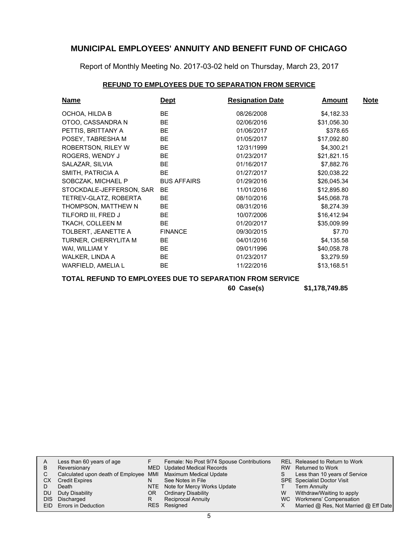Report of Monthly Meeting No. 2017-03-02 held on Thursday, March 23, 2017

### **REFUND TO EMPLOYEES DUE TO SEPARATION FROM SERVICE**

| <b>Name</b>               | Dept               | <b>Resignation Date</b> | <b>Amount</b> | <b>Note</b> |
|---------------------------|--------------------|-------------------------|---------------|-------------|
| OCHOA, HILDA B            | <b>BE</b>          | 08/26/2008              | \$4,182.33    |             |
| OTOO, CASSANDRA N         | <b>BE</b>          | 02/06/2016              | \$31,056.30   |             |
| PETTIS, BRITTANY A        | <b>BE</b>          | 01/06/2017              | \$378.65      |             |
| POSEY, TABRESHA M         | <b>BE</b>          | 01/05/2017              | \$17,092.80   |             |
| ROBERTSON, RILEY W        | <b>BE</b>          | 12/31/1999              | \$4,300.21    |             |
| ROGERS, WENDY J           | <b>BE</b>          | 01/23/2017              | \$21,821.15   |             |
| SALAZAR, SILVIA           | <b>BE</b>          | 01/16/2017              | \$7,882.76    |             |
| SMITH, PATRICIA A         | <b>BE</b>          | 01/27/2017              | \$20,038.22   |             |
| SOBCZAK, MICHAEL P        | <b>BUS AFFAIRS</b> | 01/29/2016              | \$26,045.34   |             |
| STOCKDALE-JEFFERSON, SAR  | <b>BE</b>          | 11/01/2016              | \$12,895.80   |             |
| TETREV-GLATZ, ROBERTA     | <b>BE</b>          | 08/10/2016              | \$45,068.78   |             |
| THOMPSON, MATTHEW N       | <b>BE</b>          | 08/31/2016              | \$8,274.39    |             |
| TILFORD III, FRED J       | <b>BE</b>          | 10/07/2006              | \$16,412.94   |             |
| TKACH, COLLEEN M          | <b>BE</b>          | 01/20/2017              | \$35,009.99   |             |
| TOLBERT, JEANETTE A       | <b>FINANCE</b>     | 09/30/2015              | \$7.70        |             |
| TURNER, CHERRYLITA M      | BE.                | 04/01/2016              | \$4,135.58    |             |
| WAI, WILLIAM Y            | <b>BE</b>          | 09/01/1996              | \$40,058.78   |             |
| WALKER, LINDA A           | <b>BE</b>          | 01/23/2017              | \$3,279.59    |             |
| <b>WARFIELD, AMELIA L</b> | <b>BE</b>          | 11/22/2016              | \$13,168.51   |             |

### **TOTAL REFUND TO EMPLOYEES DUE TO SEPARATION FROM SERVICE**

**60 Case(s) \$1,178,749.85**

| A    | Less than 60 years of age                                    |    | Female: No Post 9/74 Spouse Contributions |   | REL Released to Return to Work        |
|------|--------------------------------------------------------------|----|-------------------------------------------|---|---------------------------------------|
| В    | Reversionary                                                 |    | MED Updated Medical Records               |   | RW Returned to Work                   |
| C.   | Calculated upon death of Employee MMI Maximum Medical Update |    |                                           |   | Less than 10 years of Service         |
| СX   | <b>Credit Expires</b>                                        | N  | See Notes in File                         |   | <b>SPE</b> Specialist Doctor Visit    |
|      | Death                                                        |    | NTE Note for Mercy Works Update           |   | <b>Term Annuity</b>                   |
| DU.  | Duty Disability                                              | 0R | <b>Ordinary Disability</b>                | W | Withdraw/Waiting to apply             |
| DIS. | Discharged                                                   | R  | Reciprocal Annuity                        |   | WC Workmens' Compensation             |
|      | EID Errors in Deduction                                      |    | RES Resigned                              |   | Married @ Res, Not Married @ Eff Date |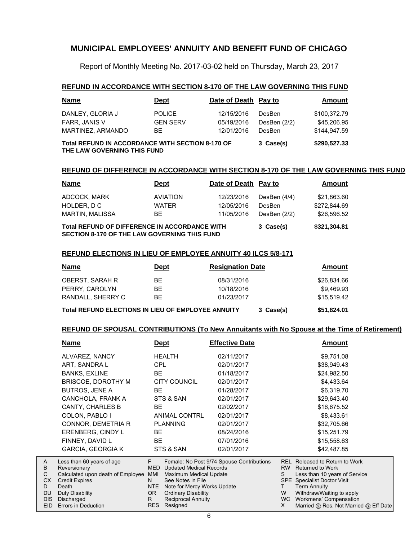Report of Monthly Meeting No. 2017-03-02 held on Thursday, March 23, 2017

### **REFUND IN ACCORDANCE WITH SECTION 8-170 OF THE LAW GOVERNING THIS FUND**

| <b>Name</b>                                                                            | <b>Dept</b>     | Date of Death Pay to |               | Amount       |
|----------------------------------------------------------------------------------------|-----------------|----------------------|---------------|--------------|
| DANLEY, GLORIA J                                                                       | <b>POLICE</b>   | 12/15/2016           | <b>DesBen</b> | \$100,372.79 |
| <b>FARR. JANIS V</b>                                                                   | <b>GEN SERV</b> | 05/19/2016           | DesBen (2/2)  | \$45,206.95  |
| MARTINEZ, ARMANDO                                                                      | BE.             | 12/01/2016           | DesBen        | \$144,947.59 |
| <b>Total REFUND IN ACCORDANCE WITH SECTION 8-170 OF</b><br>THE LAW GOVERNING THIS FUND | 3 Case(s)       | \$290,527.33         |               |              |

#### **REFUND OF DIFFERENCE IN ACCORDANCE WITH SECTION 8-170 OF THE LAW GOVERNING THIS FUND**

| <b>Name</b>                                                                                   | <u>Dept</u>     | Date of Death Pay to |                | Amount       |
|-----------------------------------------------------------------------------------------------|-----------------|----------------------|----------------|--------------|
| ADCOCK, MARK                                                                                  | <b>AVIATION</b> | 12/23/2016           | DesBen $(4/4)$ | \$21,863.60  |
| HOLDER, DC                                                                                    | <b>WATER</b>    | 12/05/2016           | DesBen         | \$272.844.69 |
| <b>MARTIN, MALISSA</b>                                                                        | BE.             | 11/05/2016           | DesBen $(2/2)$ | \$26.596.52  |
| Total REFUND OF DIFFERENCE IN ACCORDANCE WITH<br>SECTION 8-170 OF THE LAW GOVERNING THIS FUND |                 |                      | 3 Case(s)      | \$321,304.81 |

#### **REFUND ELECTIONS IN LIEU OF EMPLOYEE ANNUITY 40 ILCS 5/8-171**

| <b>Name</b>                                               | Dept | <b>Resignation Date</b> | Amount      |
|-----------------------------------------------------------|------|-------------------------|-------------|
| OBERST, SARAH R                                           | BE.  | 08/31/2016              | \$26,834,66 |
| PERRY, CAROLYN                                            | BE.  | 10/18/2016              | \$9.469.93  |
| RANDALL, SHERRY C                                         | BE.  | 01/23/2017              | \$15.519.42 |
| <b>Total REFUND ELECTIONS IN LIEU OF EMPLOYEE ANNUITY</b> |      | 3 Case(s)               | \$51,824.01 |

#### **REFUND OF SPOUSAL CONTRIBUTIONS (To New Annuitants with No Spouse at the Time of Retirement)**

|                   | Name                              |                  | <u>Dept</u>                           | <b>Effective Date</b>                     |                 | Amount                                                          |  |
|-------------------|-----------------------------------|------------------|---------------------------------------|-------------------------------------------|-----------------|-----------------------------------------------------------------|--|
|                   | ALVAREZ, NANCY                    |                  | <b>HEALTH</b>                         | 02/11/2017                                |                 | \$9,751.08                                                      |  |
|                   | ART, SANDRA L                     | CPL              |                                       | 02/01/2017                                |                 | \$38,949.43                                                     |  |
|                   | <b>BANKS, EXLINE</b>              | <b>BE</b>        |                                       | 01/18/2017                                |                 | \$24,982.50                                                     |  |
|                   | BRISCOE, DOROTHY M                |                  | <b>CITY COUNCIL</b>                   | 02/01/2017                                |                 | \$4,433.64                                                      |  |
|                   | <b>BUTROS, JENE A</b>             | BE.              |                                       | 01/28/2017                                |                 | \$6,319.70                                                      |  |
|                   | CANCHOLA, FRANK A                 |                  | STS & SAN                             | 02/01/2017                                |                 | \$29,643.40                                                     |  |
|                   | CANTY, CHARLES B                  | BE.              |                                       | 02/02/2017                                |                 | \$16,675.52                                                     |  |
|                   | COLON, PABLO I                    |                  | <b>ANIMAL CONTRL</b>                  | 02/01/2017                                |                 | \$8,433.61                                                      |  |
|                   | CONNOR, DEMETRIA R                |                  | <b>PLANNING</b>                       | 02/01/2017                                | \$32,705.66     |                                                                 |  |
|                   | ERENBERG, CINDY L                 | BE               |                                       | 08/24/2016                                |                 | \$15,251.79                                                     |  |
|                   | FINNEY, DAVID L                   | BE.              |                                       | 07/01/2016                                |                 | \$15,558.63                                                     |  |
|                   | GARCIA, GEORGIA K                 |                  | STS & SAN                             | 02/01/2017                                |                 | \$42,487.85                                                     |  |
| A                 | Less than 60 years of age         | F.               |                                       | Female: No Post 9/74 Spouse Contributions |                 | REL Released to Return to Work                                  |  |
| B                 | Reversionary                      |                  | <b>MED</b> Updated Medical Records    |                                           | <b>RW</b>       | Returned to Work                                                |  |
| C                 | Calculated upon death of Employee | MMI              | Maximum Medical Update                |                                           | S               | Less than 10 years of Service                                   |  |
| <b>CX</b>         | <b>Credit Expires</b>             | N.               | See Notes in File                     |                                           |                 | SPE Specialist Doctor Visit                                     |  |
| D                 | Death                             | <b>NTE</b>       | Note for Mercy Works Update           |                                           | T.              | <b>Term Annuity</b>                                             |  |
| DU                | Duty Disability                   | OR.              | <b>Ordinary Disability</b>            |                                           | W               | Withdraw/Waiting to apply                                       |  |
| <b>DIS</b><br>EID | Discharged<br>Errors in Deduction | R.<br><b>RES</b> | <b>Reciprocal Annuity</b><br>Resigned |                                           | <b>WC</b><br>X. | Workmens' Compensation<br>Married @ Res, Not Married @ Eff Date |  |
|                   |                                   |                  |                                       |                                           |                 |                                                                 |  |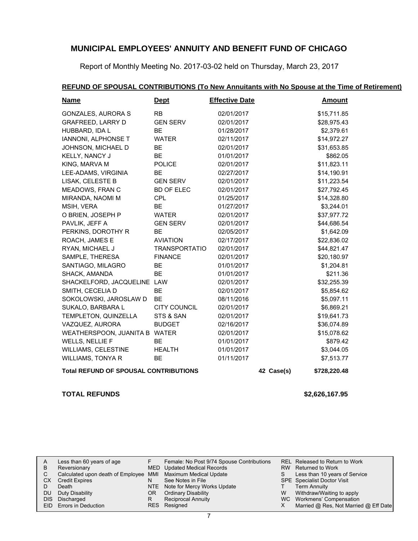Report of Monthly Meeting No. 2017-03-02 held on Thursday, March 23, 2017

### **REFUND OF SPOUSAL CONTRIBUTIONS (To New Annuitants with No Spouse at the Time of Retirement)**

| <b>Name</b>                                  | <b>Dept</b>          | <b>Effective Date</b> |  | <b>Amount</b> |  |
|----------------------------------------------|----------------------|-----------------------|--|---------------|--|
| GONZALES, AURORA S                           | <b>RB</b>            | 02/01/2017            |  | \$15,711.85   |  |
| <b>GRAFREED, LARRY D</b>                     | <b>GEN SERV</b>      | 02/01/2017            |  | \$28,975.43   |  |
| HUBBARD, IDA L                               | <b>BE</b>            | 01/28/2017            |  | \$2,379.61    |  |
| <b>IANNONI, ALPHONSE T</b>                   | <b>WATER</b>         | 02/11/2017            |  | \$14,972.27   |  |
| JOHNSON, MICHAEL D                           | <b>BE</b>            | 02/01/2017            |  | \$31,653.85   |  |
| KELLY, NANCY J                               | <b>BE</b>            | 01/01/2017            |  | \$862.05      |  |
| KING, MARVA M                                | <b>POLICE</b>        | 02/01/2017            |  | \$11,823.11   |  |
| LEE-ADAMS, VIRGINIA                          | <b>BE</b>            | 02/27/2017            |  | \$14,190.91   |  |
| LISAK, CELESTE B                             | <b>GEN SERV</b>      | 02/01/2017            |  | \$11,223.54   |  |
| MEADOWS, FRAN C                              | <b>BD OF ELEC</b>    | 02/01/2017            |  | \$27,792.45   |  |
| MIRANDA, NAOMI M                             | <b>CPL</b>           | 01/25/2017            |  | \$14,328.80   |  |
| MSIH, VERA                                   | <b>BE</b>            | 01/27/2017            |  | \$3,244.01    |  |
| O BRIEN, JOSEPH P                            | <b>WATER</b>         | 02/01/2017            |  | \$37,977.72   |  |
| PAVLIK, JEFF A                               | <b>GEN SERV</b>      | 02/01/2017            |  | \$44,686.54   |  |
| PERKINS, DOROTHY R                           | <b>BE</b>            | 02/05/2017            |  | \$1,642.09    |  |
| ROACH, JAMES E                               | <b>AVIATION</b>      | 02/17/2017            |  | \$22,836.02   |  |
| RYAN, MICHAEL J                              | <b>TRANSPORTATIO</b> | 02/01/2017            |  | \$44,821.47   |  |
| SAMPLE, THERESA                              | <b>FINANCE</b>       | 02/01/2017            |  | \$20,180.97   |  |
| SANTIAGO, MILAGRO                            | BE                   | 01/01/2017            |  | \$1,204.81    |  |
| SHACK, AMANDA                                | <b>BE</b>            | 01/01/2017            |  | \$211.36      |  |
| SHACKELFORD, JACQUELINE LAW                  |                      | 02/01/2017            |  | \$32,255.39   |  |
| SMITH, CECELIA D                             | <b>BE</b>            | 02/01/2017            |  | \$5,854.62    |  |
| SOKOLOWSKI, JAROSLAW D                       | <b>BE</b>            | 08/11/2016            |  | \$5,097.11    |  |
| SUKALO, BARBARA L                            | <b>CITY COUNCIL</b>  | 02/01/2017            |  | \$6,869.21    |  |
| TEMPLETON, QUINZELLA                         | STS & SAN            | 02/01/2017            |  | \$19,641.73   |  |
| VAZQUEZ, AURORA                              | <b>BUDGET</b>        | 02/16/2017            |  | \$36,074.89   |  |
| WEATHERSPOON, JUANITA B WATER                |                      | 02/01/2017            |  | \$15,078.62   |  |
| <b>WELLS, NELLIE F</b>                       | <b>BE</b>            | 01/01/2017            |  | \$879.42      |  |
| <b>WILLIAMS, CELESTINE</b>                   | <b>HEALTH</b>        | 01/01/2017            |  | \$3,044.05    |  |
| <b>WILLIAMS, TONYA R</b>                     | <b>BE</b>            | 01/11/2017            |  | \$7,513.77    |  |
| <b>Total REFUND OF SPOUSAL CONTRIBUTIONS</b> | 42 Case(s)           | \$728,220.48          |  |               |  |

### **TOTAL REFUNDS \$2,626,167.95**

| A   | Less than 60 years of age                                    |     | Female: No Post 9/74 Spouse Contributions |   | REL Released to Return to Work        |
|-----|--------------------------------------------------------------|-----|-------------------------------------------|---|---------------------------------------|
| B   | Reversionary                                                 |     | MED Updated Medical Records               |   | RW Returned to Work                   |
|     | Calculated upon death of Employee MMI Maximum Medical Update |     |                                           |   | Less than 10 years of Service         |
| CX. | <b>Credit Expires</b>                                        |     | See Notes in File                         |   | <b>SPE</b> Specialist Doctor Visit    |
|     | Death                                                        |     | NTE Note for Mercy Works Update           |   | <b>Term Annuity</b>                   |
| DU. | Duty Disability                                              | OR. | <b>Ordinary Disability</b>                | W | Withdraw/Waiting to apply             |
|     | DIS Discharged                                               |     | <b>Reciprocal Annuity</b>                 |   | WC Workmens' Compensation             |
|     | EID Errors in Deduction                                      |     | RES Resigned                              |   | Married @ Res, Not Married @ Eff Date |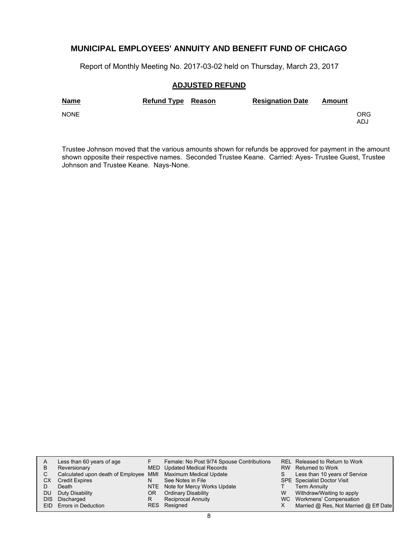Report of Monthly Meeting No. 2017-03-02 held on Thursday, March 23, 2017

### **ADJUSTED REFUND**

| <b>Name</b> | Refund Type Reason | <b>Resignation Date</b> | Amount |            |
|-------------|--------------------|-------------------------|--------|------------|
| <b>NONE</b> |                    |                         |        | ORG<br>ADJ |

Trustee Johnson moved that the various amounts shown for refunds be approved for payment in the amount shown opposite their respective names. Seconded Trustee Keane. Carried: Ayes- Trustee Guest, Trustee Johnson and Trustee Keane. Nays-None.

| A    | Less than 60 years of age                                    |    | Female: No Post 9/74 Spouse Contributions |    | REL Released to Return to Work        |
|------|--------------------------------------------------------------|----|-------------------------------------------|----|---------------------------------------|
| В    | Reversionary                                                 |    | MED Updated Medical Records               |    | RW Returned to Work                   |
| C.   | Calculated upon death of Employee MMI Maximum Medical Update |    |                                           | S. | Less than 10 years of Service         |
| СX   | <b>Credit Expires</b>                                        | N  | See Notes in File                         |    | <b>SPE</b> Specialist Doctor Visit    |
|      | Death                                                        |    | NTE Note for Mercy Works Update           |    | <b>Term Annuity</b>                   |
| DU   | Duty Disability                                              | ΟR | <b>Ordinary Disability</b>                | W  | Withdraw/Waiting to apply             |
| DIS. | Discharged                                                   | R  | Reciprocal Annuity                        |    | WC Workmens' Compensation             |
|      | EID Errors in Deduction                                      |    | RES Resigned                              |    | Married @ Res, Not Married @ Eff Date |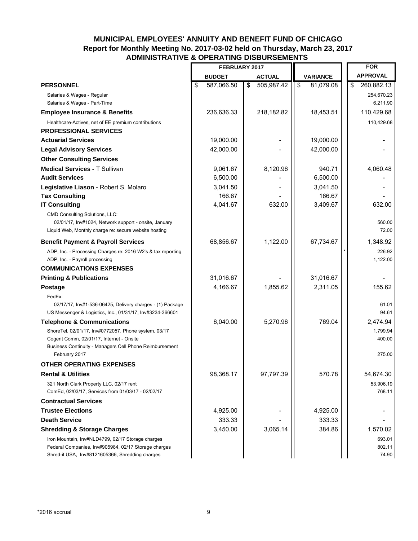### **MUNICIPAL EMPLOYEES' ANNUITY AND BENEFIT FUND OF CHICAGO Report for Monthly Meeting No. 2017-03-02 held on Thursday, March 23, 2017 ADMINISTRATIVE & OPERATING DISBURSEMENTS**

|                                                                                                                                                              | FEBRUARY 2017    |    |               |                           |                 | <b>FOR</b> |                           |
|--------------------------------------------------------------------------------------------------------------------------------------------------------------|------------------|----|---------------|---------------------------|-----------------|------------|---------------------------|
|                                                                                                                                                              | <b>BUDGET</b>    |    | <b>ACTUAL</b> |                           | <b>VARIANCE</b> |            | <b>APPROVAL</b>           |
| <b>PERSONNEL</b>                                                                                                                                             | \$<br>587,066.50 | \$ | 505,987.42    | $\boldsymbol{\mathsf{S}}$ | 81,079.08       | \$         | 260,882.13                |
| Salaries & Wages - Regular                                                                                                                                   |                  |    |               |                           |                 |            | 254,670.23                |
| Salaries & Wages - Part-Time                                                                                                                                 |                  |    |               |                           |                 |            | 6,211.90                  |
| <b>Employee Insurance &amp; Benefits</b>                                                                                                                     | 236,636.33       |    | 218,182.82    |                           | 18,453.51       |            | 110,429.68                |
| Healthcare-Actives, net of EE premium contributions                                                                                                          |                  |    |               |                           |                 |            | 110,429.68                |
| <b>PROFESSIONAL SERVICES</b>                                                                                                                                 |                  |    |               |                           |                 |            |                           |
| <b>Actuarial Services</b>                                                                                                                                    | 19,000.00        |    |               |                           | 19,000.00       |            |                           |
| <b>Legal Advisory Services</b>                                                                                                                               | 42,000.00        |    |               |                           | 42,000.00       |            |                           |
| <b>Other Consulting Services</b>                                                                                                                             |                  |    |               |                           |                 |            |                           |
| <b>Medical Services - T Sullivan</b>                                                                                                                         | 9,061.67         |    | 8,120.96      |                           | 940.71          |            | 4,060.48                  |
| <b>Audit Services</b>                                                                                                                                        | 6,500.00         |    |               |                           | 6,500.00        |            |                           |
| Legislative Liason - Robert S. Molaro                                                                                                                        | 3,041.50         |    |               |                           | 3,041.50        |            |                           |
| <b>Tax Consulting</b>                                                                                                                                        | 166.67           |    |               |                           | 166.67          |            |                           |
| <b>IT Consulting</b>                                                                                                                                         | 4,041.67         |    | 632.00        |                           | 3,409.67        |            | 632.00                    |
| <b>CMD Consulting Solutions, LLC:</b>                                                                                                                        |                  |    |               |                           |                 |            | 560.00                    |
| 02/01/17, Inv#1024, Network support - onsite, January<br>Liquid Web, Monthly charge re: secure website hosting                                               |                  |    |               |                           |                 |            | 72.00                     |
|                                                                                                                                                              |                  |    |               |                           |                 |            |                           |
| <b>Benefit Payment &amp; Payroll Services</b>                                                                                                                | 68,856.67        |    | 1,122.00      |                           | 67,734.67       |            | 1,348.92                  |
| ADP, Inc. - Processing Charges re: 2016 W2's & tax reporting<br>ADP, Inc. - Payroll processing                                                               |                  |    |               |                           |                 |            | 226.92<br>1,122.00        |
| <b>COMMUNICATIONS EXPENSES</b>                                                                                                                               |                  |    |               |                           |                 |            |                           |
| <b>Printing &amp; Publications</b>                                                                                                                           | 31,016.67        |    |               |                           | 31,016.67       |            |                           |
| <b>Postage</b>                                                                                                                                               | 4,166.67         |    | 1,855.62      |                           | 2,311.05        |            | 155.62                    |
| FedEx:                                                                                                                                                       |                  |    |               |                           |                 |            |                           |
| 02/17/17, Inv#1-536-06425, Delivery charges - (1) Package                                                                                                    |                  |    |               |                           |                 |            | 61.01                     |
| US Messenger & Logistics, Inc., 01/31/17, Inv#3234-366601                                                                                                    |                  |    |               |                           |                 |            | 94.61                     |
| <b>Telephone &amp; Communications</b>                                                                                                                        | 6,040.00         |    | 5,270.96      |                           | 769.04          |            | 2,474.94                  |
| ShoreTel, 02/01/17, Inv#0772057, Phone system, 03/17                                                                                                         |                  |    |               |                           |                 |            | 1,799.94                  |
| Cogent Comm, 02/01/17, Internet - Onsite                                                                                                                     |                  |    |               |                           |                 |            | 400.00                    |
| Business Continuity - Managers Cell Phone Reimbursement<br>February 2017                                                                                     |                  |    |               |                           |                 |            | 275.00                    |
| <b>OTHER OPERATING EXPENSES</b>                                                                                                                              |                  |    |               |                           |                 |            |                           |
| <b>Rental &amp; Utilities</b>                                                                                                                                | 98,368.17        |    | 97,797.39     |                           | 570.78          |            | 54,674.30                 |
| 321 North Clark Property LLC, 02/17 rent                                                                                                                     |                  |    |               |                           |                 |            | 53,906.19                 |
| ComEd, 02/03/17, Services from 01/03/17 - 02/02/17                                                                                                           |                  |    |               |                           |                 |            | 768.11                    |
| <b>Contractual Services</b>                                                                                                                                  |                  |    |               |                           |                 |            |                           |
| <b>Trustee Elections</b>                                                                                                                                     | 4,925.00         |    |               |                           | 4,925.00        |            |                           |
| <b>Death Service</b>                                                                                                                                         | 333.33           |    |               |                           | 333.33          |            |                           |
| <b>Shredding &amp; Storage Charges</b>                                                                                                                       | 3,450.00         |    | 3,065.14      |                           | 384.86          |            | 1,570.02                  |
| Iron Mountain, Inv#NLD4799, 02/17 Storage charges<br>Federal Companies, Inv#905984, 02/17 Storage charges<br>Shred-it USA, Inv#8121605366, Shredding charges |                  |    |               |                           |                 |            | 693.01<br>802.11<br>74.90 |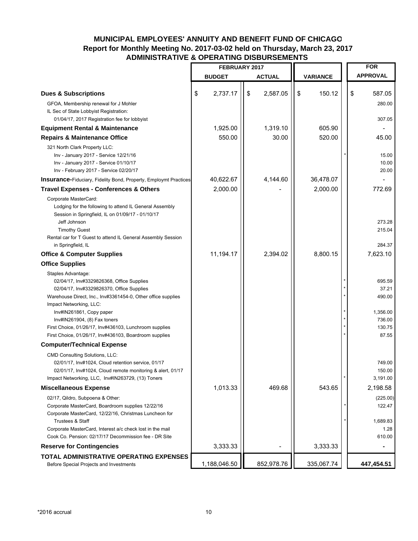### **MUNICIPAL EMPLOYEES' ANNUITY AND BENEFIT FUND OF CHICAGO Report for Monthly Meeting No. 2017-03-02 held on Thursday, March 23, 2017 ADMINISTRATIVE & OPERATING DISBURSEMENTS**

|                                                                                                                                                                                                                                                                                                                                                                                         | FEBRUARY 2017  |                |                 | <b>FOR</b>                                                         |
|-----------------------------------------------------------------------------------------------------------------------------------------------------------------------------------------------------------------------------------------------------------------------------------------------------------------------------------------------------------------------------------------|----------------|----------------|-----------------|--------------------------------------------------------------------|
|                                                                                                                                                                                                                                                                                                                                                                                         | <b>BUDGET</b>  | <b>ACTUAL</b>  | <b>VARIANCE</b> | <b>APPROVAL</b>                                                    |
|                                                                                                                                                                                                                                                                                                                                                                                         |                |                |                 |                                                                    |
| <b>Dues &amp; Subscriptions</b>                                                                                                                                                                                                                                                                                                                                                         | \$<br>2,737.17 | \$<br>2,587.05 | \$<br>150.12    | \$<br>587.05                                                       |
| GFOA, Membership renewal for J Mohler<br>IL Sec of State Lobbyist Registration:<br>01/04/17, 2017 Registration fee for lobbyist                                                                                                                                                                                                                                                         |                |                |                 | 280.00<br>307.05                                                   |
| <b>Equipment Rental &amp; Maintenance</b>                                                                                                                                                                                                                                                                                                                                               | 1,925.00       | 1,319.10       | 605.90          |                                                                    |
| <b>Repairs &amp; Maintenance Office</b>                                                                                                                                                                                                                                                                                                                                                 | 550.00         | 30.00          | 520.00          | 45.00                                                              |
| 321 North Clark Property LLC:<br>Inv - January 2017 - Service 12/21/16<br>Inv - January 2017 - Service 01/10/17<br>Inv - February 2017 - Service 02/20/17                                                                                                                                                                                                                               |                |                |                 | 15.00<br>10.00<br>20.00                                            |
| <b>Insurance-Fiduciary, Fidelity Bond, Property, Employmt Practices</b>                                                                                                                                                                                                                                                                                                                 | 40,622.67      | 4,144.60       | 36,478.07       |                                                                    |
| <b>Travel Expenses - Conferences &amp; Others</b>                                                                                                                                                                                                                                                                                                                                       | 2,000.00       |                | 2,000.00        | 772.69                                                             |
| Corporate MasterCard:<br>Lodging for the following to attend IL General Assembly<br>Session in Springfield, IL on 01/09/17 - 01/10/17<br>Jeff Johnson<br><b>Timothy Guest</b><br>Rental car for T Guest to attend IL General Assembly Session                                                                                                                                           |                |                |                 | 273.28<br>215.04                                                   |
| in Springfield, IL                                                                                                                                                                                                                                                                                                                                                                      |                |                |                 | 284.37                                                             |
| <b>Office &amp; Computer Supplies</b>                                                                                                                                                                                                                                                                                                                                                   | 11,194.17      | 2,394.02       | 8,800.15        | 7,623.10                                                           |
| <b>Office Supplies</b>                                                                                                                                                                                                                                                                                                                                                                  |                |                |                 |                                                                    |
| Staples Advantage:<br>02/04/17, Inv#3329826368, Office Supplies<br>02/04/17, Inv#3329826370, Office Supplies<br>Warehouse Direct, Inc., Inv#3361454-0, Other office supplies<br>Impact Networking, LLC:<br>Inv#IN261861, Copy paper<br>InvH N261904, (8) Fax tonnes<br>First Choice, 01/26/17, Inv#436103, Lunchroom supplies<br>First Choice, 01/26/17, Inv#436103, Boardroom supplies |                |                |                 | 695.59<br>37.21<br>490.00<br>1,356.00<br>736.00<br>130.75<br>87.55 |
| <b>Computer/Technical Expense</b>                                                                                                                                                                                                                                                                                                                                                       |                |                |                 |                                                                    |
| <b>CMD Consulting Solutions, LLC:</b><br>02/01/17, Inv#1024, Cloud retention service, 01/17<br>02/01/17, Inv#1024, Cloud remote monitoring & alert, 01/17<br>Impact Networking, LLC, Inv#IN263729, (13) Toners                                                                                                                                                                          |                |                |                 | 749.00<br>150.00<br>3,191.00                                       |
| <b>Miscellaneous Expense</b>                                                                                                                                                                                                                                                                                                                                                            | 1,013.33       | 469.68         | 543.65          | 2,198.58                                                           |
| 02/17, Qildro, Subpoena & Other:<br>Corporate MasterCard, Boardroom supplies 12/22/16<br>Corporate MasterCard, 12/22/16, Christmas Luncheon for<br>Trustees & Staff<br>Corporate MasterCard, Interest a/c check lost in the mail<br>Cook Co. Pension: 02/17/17 Decommission fee - DR Site                                                                                               |                |                |                 | (225.00)<br>122.47<br>1,689.83<br>1.28<br>610.00                   |
| <b>Reserve for Contingencies</b>                                                                                                                                                                                                                                                                                                                                                        | 3,333.33       |                | 3,333.33        | -                                                                  |
|                                                                                                                                                                                                                                                                                                                                                                                         |                |                |                 |                                                                    |
| <b>TOTAL ADMINISTRATIVE OPERATING EXPENSES</b><br>Before Special Projects and Investments                                                                                                                                                                                                                                                                                               | 1,188,046.50   | 852,978.76     | 335,067.74      | 447,454.51                                                         |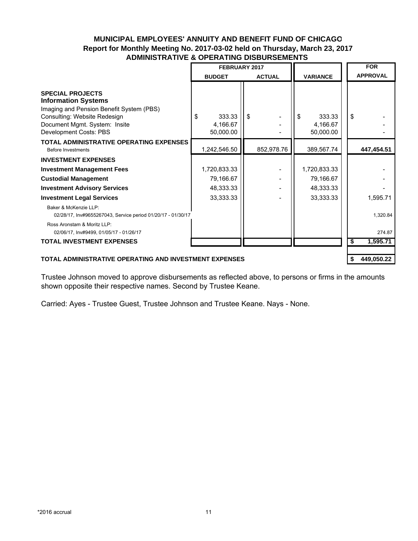### **MUNICIPAL EMPLOYEES' ANNUITY AND BENEFIT FUND OF CHICAGO Report for Monthly Meeting No. 2017-03-02 held on Thursday, March 23, 2017 ADMINISTRATIVE & OPERATING DISBURSEMENTS**

|                                                                                                                                                                                              | FEBRUARY 2017                         |               |                                       |    | <b>FOR</b>      |
|----------------------------------------------------------------------------------------------------------------------------------------------------------------------------------------------|---------------------------------------|---------------|---------------------------------------|----|-----------------|
|                                                                                                                                                                                              | <b>BUDGET</b>                         | <b>ACTUAL</b> | <b>VARIANCE</b>                       |    | <b>APPROVAL</b> |
| <b>SPECIAL PROJECTS</b><br><b>Information Systems</b><br>Imaging and Pension Benefit System (PBS)<br>Consulting: Website Redesign<br>Document Mgmt. System: Insite<br>Development Costs: PBS | \$<br>333.33<br>4,166.67<br>50,000.00 | \$            | \$<br>333.33<br>4,166.67<br>50,000.00 | -S |                 |
| <b>TOTAL ADMINISTRATIVE OPERATING EXPENSES</b><br><b>Before Investments</b>                                                                                                                  | 1,242,546.50                          | 852,978.76    | 389,567.74                            |    | 447,454.51      |
| <b>INVESTMENT EXPENSES</b>                                                                                                                                                                   |                                       |               |                                       |    |                 |
| <b>Investment Management Fees</b>                                                                                                                                                            | 1,720,833.33                          |               | 1,720,833.33                          |    |                 |
| <b>Custodial Management</b>                                                                                                                                                                  | 79,166.67                             |               | 79,166.67                             |    |                 |
| <b>Investment Advisory Services</b>                                                                                                                                                          | 48,333.33                             |               | 48,333.33                             |    |                 |
| <b>Investment Legal Services</b>                                                                                                                                                             | 33,333.33                             |               | 33,333.33                             |    | 1,595.71        |
| Baker & McKenzie LLP:<br>02/28/17, Inv#9655267043, Service period 01/20/17 - 01/30/17                                                                                                        |                                       |               |                                       |    | 1,320.84        |
| Ross Aronstam & Moritz LLP:<br>02/06/17, Inv#9499, 01/05/17 - 01/26/17                                                                                                                       |                                       |               |                                       |    | 274.87          |
| <b>TOTAL INVESTMENT EXPENSES</b>                                                                                                                                                             |                                       |               |                                       | \$ | 1,595.71        |
| TOTAL ADMINISTRATIVE OPERATING AND INVESTMENT EXPENSES                                                                                                                                       |                                       |               |                                       |    | 449,050.22      |

Trustee Johnson moved to approve disbursements as reflected above, to persons or firms in the amounts shown opposite their respective names. Second by Trustee Keane.

Carried: Ayes - Trustee Guest, Trustee Johnson and Trustee Keane. Nays - None.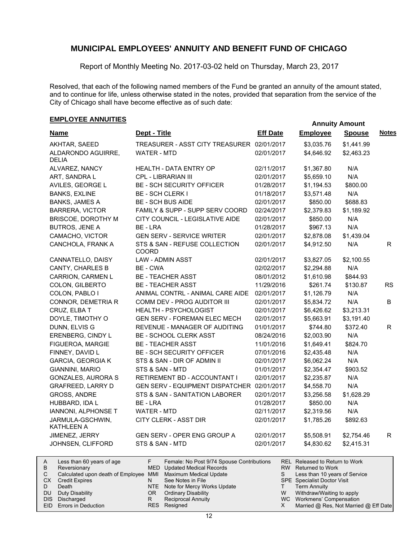Report of Monthly Meeting No. 2017-03-02 held on Thursday, March 23, 2017

Resolved, that each of the following named members of the Fund be granted an annuity of the amount stated, and to continue for life, unless otherwise stated in the notes, provided that separation from the service of the City of Chicago shall have become effective as of such date:

# **EMPLOYEE ANNUITIES**

| <b>Name</b>                           | Dept - Title                                   | <b>Eff Date</b> | <b>Employee</b>                | <b>Spouse</b> | <b>Notes</b> |
|---------------------------------------|------------------------------------------------|-----------------|--------------------------------|---------------|--------------|
| AKHTAR, SAEED                         | TREASURER - ASST CITY TREASURER 02/01/2017     |                 | \$3,035.76                     | \$1,441.99    |              |
| ALDARONDO AGUIRRE,<br>DELIA           | WATER - MTD                                    | 02/01/2017      | \$4,646.92                     | \$2,463.23    |              |
| ALVAREZ, NANCY                        | <b>HEALTH - DATA ENTRY OP</b>                  | 02/11/2017      | \$1,367.80                     | N/A           |              |
| ART, SANDRA L                         | CPL - LIBRARIAN III                            | 02/01/2017      | \$5,659.10                     | N/A           |              |
| AVILES, GEORGE L                      | <b>BE - SCH SECURITY OFFICER</b>               | 01/28/2017      | \$1,194.53                     | \$800.00      |              |
| <b>BANKS, EXLINE</b>                  | BE - SCH CLERK I                               | 01/18/2017      | \$3,571.48                     | N/A           |              |
| <b>BANKS, JAMES A</b>                 | <b>BE - SCH BUS AIDE</b>                       | 02/01/2017      | \$850.00                       | \$688.83      |              |
| <b>BARRERA, VICTOR</b>                | FAMILY & SUPP - SUPP SERV COORD                | 02/24/2017      | \$2,379.83                     | \$1,189.92    |              |
| BRISCOE, DOROTHY M                    | CITY COUNCIL - LEGISLATIVE AIDE                | 02/01/2017      | \$850.00                       | N/A           |              |
| <b>BUTROS, JENE A</b>                 | BE - LRA                                       | 01/28/2017      | \$967.13                       | N/A           |              |
| CAMACHO, VICTOR                       | <b>GEN SERV - SERVICE WRITER</b>               | 02/01/2017      | \$2,878.08                     | \$1,439.04    |              |
| CANCHOLA, FRANK A                     | STS & SAN - REFUSE COLLECTION<br><b>COORD</b>  | 02/01/2017      | \$4,912.50                     | N/A           | R.           |
| CANNATELLO, DAISY                     | LAW - ADMIN ASST                               | 02/01/2017      | \$3,827.05                     | \$2,100.55    |              |
| <b>CANTY, CHARLES B</b>               | <b>BE-CWA</b>                                  | 02/02/2017      | \$2,294.88                     | N/A           |              |
| CARRION, CARMEN L                     | <b>BE - TEACHER ASST</b>                       | 08/01/2012      | \$1,610.98                     | \$844.93      |              |
| COLON, GILBERTO                       | <b>BE - TEACHER ASST</b>                       | 11/29/2016      | \$261.74                       | \$130.87      | <b>RS</b>    |
| COLON, PABLO I                        | ANIMAL CONTRL - ANIMAL CARE AIDE               | 02/01/2017      | \$1,126.79                     | N/A           |              |
| CONNOR, DEMETRIA R                    | COMM DEV - PROG AUDITOR III                    | 02/01/2017      | \$5,834.72                     | N/A           | $\sf B$      |
| CRUZ, ELBA T                          | HEALTH - PSYCHOLOGIST                          | 02/01/2017      | \$6,426.62                     | \$3,213.31    |              |
| DOYLE, TIMOTHY O                      | <b>GEN SERV - FOREMAN ELEC MECH</b>            | 02/01/2017      | \$5,663.91                     | \$3,191.40    |              |
| DUNN, ELVIS G                         | REVENUE - MANAGER OF AUDITING                  | 01/01/2017      | \$744.80                       | \$372.40      | R.           |
| ERENBERG, CINDY L                     | BE - SCHOOL CLERK ASST                         | 08/24/2016      | \$2,003.90                     | N/A           |              |
| FIGUEROA, MARGIE                      | <b>BE - TEACHER ASST</b>                       | 11/01/2016      | \$1,649.41                     | \$824.70      |              |
| FINNEY, DAVID L                       | <b>BE - SCH SECURITY OFFICER</b>               | 07/01/2016      | \$2,435.48                     | N/A           |              |
| <b>GARCIA, GEORGIA K</b>              | STS & SAN - DIR OF ADMIN II                    | 02/01/2017      | \$6,062.24                     | N/A           |              |
| GIANNINI, MARIO                       | STS & SAN - MTD                                | 01/01/2017      | \$2,354.47                     | \$903.52      |              |
| <b>GONZALES, AURORA S</b>             | RETIREMENT BD - ACCOUNTANT I                   | 02/01/2017      | \$2,235.87                     | N/A           |              |
| <b>GRAFREED, LARRY D</b>              | <b>GEN SERV - EQUIPMENT DISPATCHER</b>         | 02/01/2017      | \$4,558.70                     | N/A           |              |
| <b>GROSS, ANDRE</b>                   | STS & SAN - SANITATION LABORER                 | 02/01/2017      | \$3,256.58                     | \$1,628.29    |              |
| HUBBARD, IDA L                        | BE - LRA                                       | 01/28/2017      | \$850.00                       | N/A           |              |
| <b>IANNONI, ALPHONSE T</b>            | <b>WATER - MTD</b>                             | 02/11/2017      | \$2,319.56                     | N/A           |              |
| JARMULA-GSCHWIN,<br><b>KATHLEEN A</b> | CITY CLERK - ASST DIR                          | 02/01/2017      | \$1,785.26                     | \$892.63      |              |
| JIMENEZ, JERRY                        | <b>GEN SERV - OPER ENG GROUP A</b>             | 02/01/2017      | \$5,508.91                     | \$2,754.46    | R.           |
| JOHNSEN, CLIFFORD                     | STS & SAN - MTD                                | 02/01/2017      | \$4,830.62                     | \$2,415.31    |              |
| Less than 60 years of age             | F<br>Female: No Post 9/74 Spouse Contributions |                 | REL Released to Return to Work |               |              |

|           | Less than 60 years of age                                    |     | Female: No Post 9/74 Spouse Contributions |   | REL Released to Return to Work        |
|-----------|--------------------------------------------------------------|-----|-------------------------------------------|---|---------------------------------------|
| B         | Reversionary                                                 |     | MED Updated Medical Records               |   | RW Returned to Work                   |
|           | Calculated upon death of Employee MMI Maximum Medical Update |     |                                           |   | Less than 10 years of Service         |
| <b>CX</b> | <b>Credit Expires</b>                                        |     | See Notes in File                         |   | <b>SPE</b> Specialist Doctor Visit    |
|           | Death                                                        |     | NTE Note for Mercy Works Update           |   | <b>Term Annuity</b>                   |
|           | DU Duty Disability                                           | OR. | <b>Ordinary Disability</b>                | W | Withdraw/Waiting to apply             |
|           | DIS Discharged                                               |     | <b>Reciprocal Annuity</b>                 |   | WC Workmens' Compensation             |
|           | EID Errors in Deduction                                      |     | RES Resigned                              |   | Married @ Res, Not Married @ Eff Date |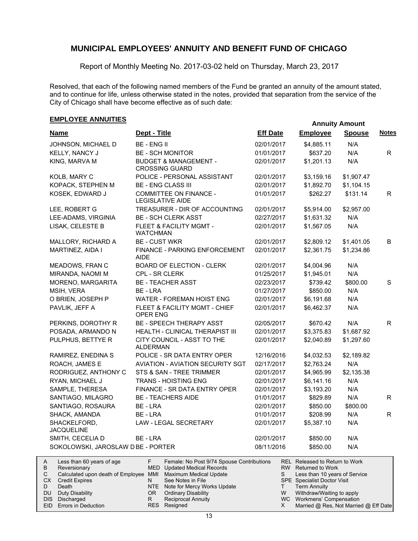Report of Monthly Meeting No. 2017-03-02 held on Thursday, March 23, 2017

Resolved, that each of the following named members of the Fund be granted an annuity of the amount stated, and to continue for life, unless otherwise stated in the notes, provided that separation from the service of the City of Chicago shall have become effective as of such date:

# **EMPLOYEE ANNUITIES**<br> **EMPLOYEE ANNUITIES**

| <b>Name</b>                                                                                                                                                                    | Dept - Title          |                                                                                                                                                                                             | <b>Eff Date</b>   | <b>Employee</b>                                                                                                                                                               | <b>Spouse</b> | <b>Notes</b> |
|--------------------------------------------------------------------------------------------------------------------------------------------------------------------------------|-----------------------|---------------------------------------------------------------------------------------------------------------------------------------------------------------------------------------------|-------------------|-------------------------------------------------------------------------------------------------------------------------------------------------------------------------------|---------------|--------------|
| JOHNSON, MICHAEL D                                                                                                                                                             | <b>BE-ENGIL</b>       |                                                                                                                                                                                             | 02/01/2017        | \$4,885.11                                                                                                                                                                    | N/A           |              |
| KELLY, NANCY J                                                                                                                                                                 |                       | <b>BE - SCH MONITOR</b>                                                                                                                                                                     | 01/01/2017        | \$637.20                                                                                                                                                                      | N/A           | $\mathsf{R}$ |
| KING, MARVA M                                                                                                                                                                  |                       | <b>BUDGET &amp; MANAGEMENT -</b><br><b>CROSSING GUARD</b>                                                                                                                                   | 02/01/2017        | \$1,201.13                                                                                                                                                                    | N/A           |              |
| KOLB, MARY C                                                                                                                                                                   |                       | POLICE - PERSONAL ASSISTANT                                                                                                                                                                 | 02/01/2017        | \$3,159.16                                                                                                                                                                    | \$1,907.47    |              |
| KOPACK, STEPHEN M                                                                                                                                                              |                       | <b>BE - ENG CLASS III</b>                                                                                                                                                                   | 02/01/2017        | \$1,892.70                                                                                                                                                                    | \$1,104.15    |              |
| KOSEK, EDWARD J                                                                                                                                                                |                       | <b>COMMITTEE ON FINANCE -</b><br><b>LEGISLATIVE AIDE</b>                                                                                                                                    | 01/01/2017        | \$262.27                                                                                                                                                                      | \$131.14      | R            |
| LEE, ROBERT G                                                                                                                                                                  |                       | TREASURER - DIR OF ACCOUNTING                                                                                                                                                               | 02/01/2017        | \$5,914.00                                                                                                                                                                    | \$2,957.00    |              |
| LEE-ADAMS, VIRGINIA                                                                                                                                                            |                       | <b>BE - SCH CLERK ASST</b>                                                                                                                                                                  | 02/27/2017        | \$1,631.32                                                                                                                                                                    | N/A           |              |
| LISAK, CELESTE B                                                                                                                                                               | <b>WATCHMAN</b>       | FLEET & FACILITY MGMT -                                                                                                                                                                     | 02/01/2017        | \$1,567.05                                                                                                                                                                    | N/A           |              |
| MALLORY, RICHARD A                                                                                                                                                             | <b>BE - CUST WKR</b>  |                                                                                                                                                                                             | 02/01/2017        | \$2,809.12                                                                                                                                                                    | \$1,401.05    | B            |
| MARTINEZ, AIDA I                                                                                                                                                               | AIDE                  | FINANCE - PARKING ENFORCEMENT                                                                                                                                                               | 02/01/2017        | \$2,361.75                                                                                                                                                                    | \$1,234.86    |              |
| MEADOWS, FRAN C                                                                                                                                                                |                       | <b>BOARD OF ELECTION - CLERK</b>                                                                                                                                                            | 02/01/2017        | \$4,004.96                                                                                                                                                                    | N/A           |              |
| MIRANDA, NAOMI M                                                                                                                                                               | CPL - SR CLERK        |                                                                                                                                                                                             | 01/25/2017        | \$1,945.01                                                                                                                                                                    | N/A           |              |
| MORENO, MARGARITA                                                                                                                                                              |                       | <b>BE - TEACHER ASST</b>                                                                                                                                                                    | 02/23/2017        | \$739.42                                                                                                                                                                      | \$800.00      | S            |
| MSIH, VERA                                                                                                                                                                     | BE - LRA              |                                                                                                                                                                                             | 01/27/2017        | \$850.00                                                                                                                                                                      | N/A           |              |
| O BRIEN, JOSEPH P                                                                                                                                                              |                       | WATER - FOREMAN HOIST ENG                                                                                                                                                                   | 02/01/2017        | \$6,191.68                                                                                                                                                                    | N/A           |              |
| PAVLIK, JEFF A                                                                                                                                                                 | OPER ENG              | FLEET & FACILITY MGMT - CHIEF                                                                                                                                                               | 02/01/2017        | \$6,462.37                                                                                                                                                                    | N/A           |              |
| PERKINS, DOROTHY R                                                                                                                                                             |                       | <b>BE - SPEECH THERAPY ASST</b>                                                                                                                                                             | 02/05/2017        | \$670.42                                                                                                                                                                      | N/A           | R.           |
| POSADA, ARMANDO N                                                                                                                                                              |                       | HEALTH - CLINICAL THERAPIST III                                                                                                                                                             | 02/01/2017        | \$3,375.83                                                                                                                                                                    | \$1,687.92    |              |
| PULPHUS, BETTYE R                                                                                                                                                              | <b>ALDERMAN</b>       | CITY COUNCIL - ASST TO THE                                                                                                                                                                  | 02/01/2017        | \$2,040.89                                                                                                                                                                    | \$1,297.60    |              |
| RAMIREZ, ENEDINA S                                                                                                                                                             |                       | POLICE - SR DATA ENTRY OPER                                                                                                                                                                 | 12/16/2016        | \$4,032.53                                                                                                                                                                    | \$2,189.82    |              |
| ROACH, JAMES E                                                                                                                                                                 |                       | <b>AVIATION - AVIATION SECURITY SGT</b>                                                                                                                                                     | 02/17/2017        | \$2,763.24                                                                                                                                                                    | N/A           |              |
| RODRIGUEZ, ANTHONY C                                                                                                                                                           |                       | STS & SAN - TREE TRIMMER                                                                                                                                                                    | 02/01/2017        | \$4,965.99                                                                                                                                                                    | \$2,135.38    |              |
| RYAN, MICHAEL J                                                                                                                                                                |                       | TRANS - HOISTING ENG                                                                                                                                                                        | 02/01/2017        | \$6,141.16                                                                                                                                                                    | N/A           |              |
| SAMPLE, THERESA                                                                                                                                                                |                       | FINANCE - SR DATA ENTRY OPER                                                                                                                                                                | 02/01/2017        | \$3,193.20                                                                                                                                                                    | N/A           |              |
| SANTIAGO, MILAGRO                                                                                                                                                              |                       | <b>BE - TEACHERS AIDE</b>                                                                                                                                                                   | 01/01/2017        | \$829.89                                                                                                                                                                      | N/A           | R            |
| SANTIAGO, ROSAURA                                                                                                                                                              | BE - LRA              |                                                                                                                                                                                             | 02/01/2017        | \$850.00                                                                                                                                                                      | \$800.00      |              |
| SHACK, AMANDA                                                                                                                                                                  | BE - LRA              |                                                                                                                                                                                             | 01/01/2017        | \$208.99                                                                                                                                                                      | N/A           | R            |
| SHACKELFORD,<br><b>JACQUELINE</b>                                                                                                                                              |                       | LAW - LEGAL SECRETARY                                                                                                                                                                       | 02/01/2017        | \$5,387.10                                                                                                                                                                    | N/A           |              |
| SMITH, CECELIA D                                                                                                                                                               | BE - LRA              |                                                                                                                                                                                             | 02/01/2017        | \$850.00                                                                                                                                                                      | N/A           |              |
| SOKOLOWSKI, JAROSLAW D BE - PORTER                                                                                                                                             |                       |                                                                                                                                                                                             | 08/11/2016        | \$850.00                                                                                                                                                                      | N/A           |              |
| Less than 60 years of age<br>A<br>В<br>Reversionary<br>С<br>Calculated upon death of Employee MMI<br>СX<br><b>Credit Expires</b><br>Death<br>D<br>DU<br><b>Duty Disability</b> | F<br>N.<br>NTE<br>OR. | Female: No Post 9/74 Spouse Contributions<br>MED Updated Medical Records<br><b>Maximum Medical Update</b><br>See Notes in File<br>Note for Mercy Works Update<br><b>Ordinary Disability</b> | RW<br>S<br>Τ<br>W | REL Released to Return to Work<br><b>Returned to Work</b><br>Less than 10 years of Service<br>SPE Specialist Doctor Visit<br><b>Term Annuity</b><br>Withdraw/Waiting to apply |               |              |

DIS Discharged EID Errors in Deduction Reciprocal Annuity

Resigned RES

R

Workmens' Compensation

WC X

Married @ Res, Not Married @ Eff Date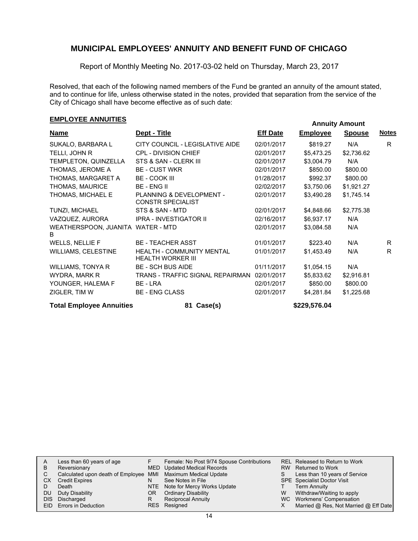Report of Monthly Meeting No. 2017-03-02 held on Thursday, March 23, 2017

Resolved, that each of the following named members of the Fund be granted an annuity of the amount stated, and to continue for life, unless otherwise stated in the notes, provided that separation from the service of the City of Chicago shall have become effective as of such date:

# **EMPLOYEE ANNUITIES**<br> **EMPLOYEE ANNUITIES**

| <b>Name</b>                            | Dept - Title                                                    | <b>Eff Date</b> | <b>Employee</b> | <b>Spouse</b> | <b>Notes</b> |
|----------------------------------------|-----------------------------------------------------------------|-----------------|-----------------|---------------|--------------|
| SUKALO, BARBARA L                      | CITY COUNCIL - LEGISLATIVE AIDE                                 | 02/01/2017      | \$819.27        | N/A           | R            |
| TELLI, JOHN R                          | <b>CPL - DIVISION CHIEF</b>                                     | 02/01/2017      | \$5,473.25      | \$2,736.62    |              |
| TEMPLETON, QUINZELLA                   | STS & SAN - CLERK III                                           | 02/01/2017      | \$3,004.79      | N/A           |              |
| THOMAS, JEROME A                       | <b>BE - CUST WKR</b>                                            | 02/01/2017      | \$850.00        | \$800.00      |              |
| THOMAS, MARGARET A                     | BE - COOK III                                                   | 01/28/2017      | \$992.37        | \$800.00      |              |
| THOMAS, MAURICE                        | <b>BE - ENG II</b>                                              | 02/02/2017      | \$3,750.06      | \$1,921.27    |              |
| THOMAS, MICHAEL E                      | <b>PLANNING &amp; DEVELOPMENT -</b><br><b>CONSTR SPECIALIST</b> | 02/01/2017      | \$3,490.28      | \$1,745.14    |              |
| TUNZI, MICHAEL                         | STS & SAN - MTD                                                 | 02/01/2017      | \$4,848.66      | \$2,775.38    |              |
| VAZQUEZ, AURORA                        | <b>IPRA - INVESTIGATOR II</b>                                   | 02/16/2017      | \$6,937.17      | N/A           |              |
| WEATHERSPOON, JUANITA WATER - MTD<br>B |                                                                 | 02/01/2017      | \$3,084.58      | N/A           |              |
| <b>WELLS, NELLIE F</b>                 | <b>BE - TEACHER ASST</b>                                        | 01/01/2017      | \$223.40        | N/A           | R.           |
| <b>WILLIAMS, CELESTINE</b>             | <b>HEALTH - COMMUNITY MENTAL</b><br><b>HEALTH WORKER III</b>    | 01/01/2017      | \$1,453.49      | N/A           | R            |
| <b>WILLIAMS, TONYA R</b>               | <b>BE - SCH BUS AIDE</b>                                        | 01/11/2017      | \$1,054.15      | N/A           |              |
| WYDRA, MARK R                          | TRANS - TRAFFIC SIGNAL REPAIRMAN                                | 02/01/2017      | \$5,833.62      | \$2,916.81    |              |
| YOUNGER, HALEMA F                      | BE - LRA                                                        | 02/01/2017      | \$850.00        | \$800.00      |              |
| ZIGLER, TIM W                          | <b>BE - ENG CLASS</b>                                           | 02/01/2017      | \$4,281.84      | \$1,225.68    |              |
|                                        |                                                                 |                 |                 |               |              |

#### **Total Employee Annuities 81 Case(s) \$229,576.04**

| A    | Less than 60 years of age                                    |    | Female: No Post 9/74 Spouse Contributions |   | REL Released to Return to Work        |
|------|--------------------------------------------------------------|----|-------------------------------------------|---|---------------------------------------|
| B    | Reversionary                                                 |    | MED Updated Medical Records               |   | RW Returned to Work                   |
| C.   | Calculated upon death of Employee MMI Maximum Medical Update |    |                                           | S | Less than 10 years of Service         |
| CХ   | <b>Credit Expires</b>                                        | N  | See Notes in File                         |   | <b>SPE</b> Specialist Doctor Visit    |
|      | Death                                                        |    | NTE Note for Mercy Works Update           |   | Term Annuity                          |
| DU.  | Duty Disability                                              | 0R | <b>Ordinary Disability</b>                | W | Withdraw/Waiting to apply             |
| DIS. | Discharged                                                   | R  | <b>Reciprocal Annuity</b>                 |   | WC Workmens' Compensation             |
|      | EID Errors in Deduction                                      |    | RES Resigned                              |   | Married @ Res, Not Married @ Eff Date |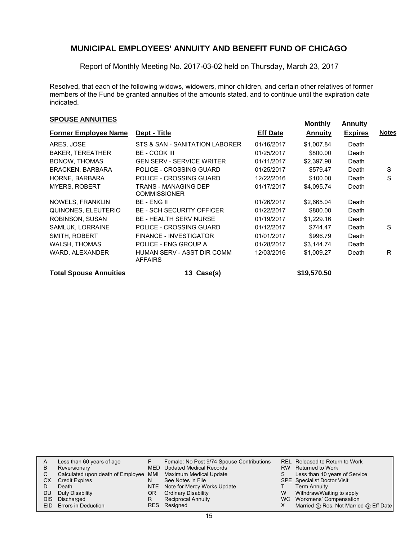Report of Monthly Meeting No. 2017-03-02 held on Thursday, March 23, 2017

Resolved, that each of the following widows, widowers, minor children, and certain other relatives of former members of the Fund be granted annuities of the amounts stated, and to continue until the expiration date indicated.

# **SPOUSE ANNUITIES**<br> **SPOUSE ANNUITIES**

| <b>Former Employee Name</b>   | Dept - Title                                       | <b>Eff Date</b> | <b>Annuity</b> | <b>Expires</b> | <b>Notes</b> |
|-------------------------------|----------------------------------------------------|-----------------|----------------|----------------|--------------|
| ARES, JOSE                    | STS & SAN - SANITATION LABORER                     | 01/16/2017      | \$1,007.84     | Death          |              |
| <b>BAKER, TEREATHER</b>       | BE - COOK III                                      | 01/25/2017      | \$800.00       | Death          |              |
| BONOW. THOMAS                 | <b>GEN SERV - SERVICE WRITER</b>                   | 01/11/2017      | \$2,397.98     | Death          |              |
| <b>BRACKEN, BARBARA</b>       | POLICE - CROSSING GUARD                            | 01/25/2017      | \$579.47       | Death          | S            |
| HORNE, BARBARA                | POLICE - CROSSING GUARD                            | 12/22/2016      | \$100.00       | Death          | S            |
| <b>MYERS, ROBERT</b>          | <b>TRANS - MANAGING DEP</b><br><b>COMMISSIONER</b> | 01/17/2017      | \$4.095.74     | Death          |              |
| NOWELS, FRANKLIN              | <b>BE - ENG II</b>                                 | 01/26/2017      | \$2,665.04     | Death          |              |
| QUINONES, ELEUTERIO           | <b>BE - SCH SECURITY OFFICER</b>                   | 01/22/2017      | \$800.00       | Death          |              |
| ROBINSON, SUSAN               | <b>BE - HEALTH SERV NURSE</b>                      | 01/19/2017      | \$1,229.16     | Death          |              |
| SAMLUK, LORRAINE              | POLICE - CROSSING GUARD                            | 01/12/2017      | \$744.47       | Death          | S            |
| SMITH, ROBERT                 | <b>FINANCE - INVESTIGATOR</b>                      | 01/01/2017      | \$996.79       | Death          |              |
| WALSH, THOMAS                 | POLICE - ENG GROUP A                               | 01/28/2017      | \$3,144.74     | Death          |              |
| WARD, ALEXANDER               | HUMAN SERV - ASST DIR COMM<br><b>AFFAIRS</b>       | 12/03/2016      | \$1,009.27     | Death          | R            |
| <b>Total Spouse Annuities</b> | 13 Case(s)                                         |                 | \$19,570.50    |                |              |

| A  | Less than 60 years of age                                    |    | Female: No Post 9/74 Spouse Contributions |   | REL Released to Return to Work        |
|----|--------------------------------------------------------------|----|-------------------------------------------|---|---------------------------------------|
| B  | Reversionary                                                 |    | MED Updated Medical Records               |   | RW Returned to Work                   |
|    | Calculated upon death of Employee MMI Maximum Medical Update |    |                                           |   | Less than 10 years of Service         |
| CХ | <b>Credit Expires</b>                                        | N  | See Notes in File                         |   | <b>SPE</b> Specialist Doctor Visit    |
|    | Death                                                        |    | NTE Note for Mercy Works Update           |   | <b>Term Annuity</b>                   |
| DU | Duty Disability                                              | 0R | <b>Ordinary Disability</b>                | W | Withdraw/Waiting to apply             |
|    | DIS Discharged                                               | R  | Reciprocal Annuity                        |   | WC Workmens' Compensation             |
|    | EID Errors in Deduction                                      |    | RES Resigned                              |   | Married @ Res, Not Married @ Eff Date |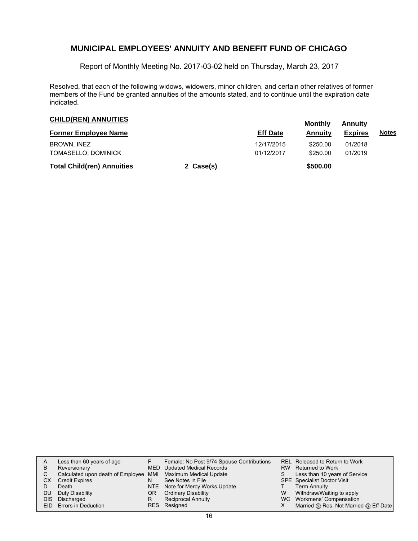Report of Monthly Meeting No. 2017-03-02 held on Thursday, March 23, 2017

Resolved, that each of the following widows, widowers, minor children, and certain other relatives of former members of the Fund be granted annuities of the amounts stated, and to continue until the expiration date indicated.

| <b>CHILD(REN) ANNUITIES</b>        |           |                          | Monthly              | Annuitv            |              |  |
|------------------------------------|-----------|--------------------------|----------------------|--------------------|--------------|--|
| <b>Former Employee Name</b>        |           | <b>Eff Date</b>          | Annuity              | <b>Expires</b>     | <b>Notes</b> |  |
| BROWN, INEZ<br>TOMASELLO, DOMINICK |           | 12/17/2015<br>01/12/2017 | \$250.00<br>\$250.00 | 01/2018<br>01/2019 |              |  |
| <b>Total Child(ren) Annuities</b>  | 2 Case(s) |                          | \$500.00             |                    |              |  |

| В<br>C.<br>СX<br>DU<br><b>DIS</b> | Less than 60 years of age<br>Reversionary<br>Calculated upon death of Employee MMI Maximum Medical Update<br><b>Credit Expires</b><br>Death<br>Duty Disability<br>Discharged<br>EID Errors in Deduction | N<br>ΟR<br>R | Female: No Post 9/74 Spouse Contributions<br>MED Updated Medical Records<br>See Notes in File<br>NTE Note for Mercy Works Update<br><b>Ordinary Disability</b><br><b>Reciprocal Annuity</b><br>RES Resigned | S.<br>W | REL Released to Return to Work<br>RW Returned to Work<br>Less than 10 years of Service<br>SPE Specialist Doctor Visit<br><b>Term Annuity</b><br>Withdraw/Waiting to apply<br>WC Workmens' Compensation<br>Married @ Res, Not Married @ Eff Date |
|-----------------------------------|---------------------------------------------------------------------------------------------------------------------------------------------------------------------------------------------------------|--------------|-------------------------------------------------------------------------------------------------------------------------------------------------------------------------------------------------------------|---------|-------------------------------------------------------------------------------------------------------------------------------------------------------------------------------------------------------------------------------------------------|
|-----------------------------------|---------------------------------------------------------------------------------------------------------------------------------------------------------------------------------------------------------|--------------|-------------------------------------------------------------------------------------------------------------------------------------------------------------------------------------------------------------|---------|-------------------------------------------------------------------------------------------------------------------------------------------------------------------------------------------------------------------------------------------------|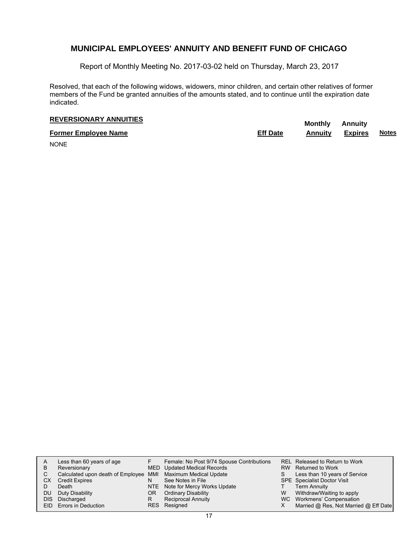Report of Monthly Meeting No. 2017-03-02 held on Thursday, March 23, 2017

Resolved, that each of the following widows, widowers, minor children, and certain other relatives of former members of the Fund be granted annuities of the amounts stated, and to continue until the expiration date indicated.

# **REVERSIONARY ANNUITIES** Monthly Annuity

**Former Employee Name Eff Date Annuity Expires Notes**

NONE

| A          | Less than 60 years of age                                    |            | Female: No Post 9/74 Spouse Contributions |           | REL Released to Return to Work        |
|------------|--------------------------------------------------------------|------------|-------------------------------------------|-----------|---------------------------------------|
| в          | Reversionary                                                 |            | MED Updated Medical Records               | <b>RW</b> | <b>Returned to Work</b>               |
| C          | Calculated upon death of Employee MMI Maximum Medical Update |            |                                           |           | Less than 10 years of Service         |
| CХ         | <b>Credit Expires</b>                                        | N          | See Notes in File                         |           | <b>SPE</b> Specialist Doctor Visit    |
|            | Death                                                        | <b>NTE</b> | Note for Mercy Works Update               |           | <b>Term Annuity</b>                   |
| DU         | Duty Disability                                              | OR         | <b>Ordinary Disability</b>                | W         | Withdraw/Waiting to apply             |
| <b>DIS</b> | Discharged                                                   | R          | <b>Reciprocal Annuity</b>                 |           | WC Workmens' Compensation             |
|            | EID Errors in Deduction                                      | RES        | Resigned                                  |           | Married @ Res, Not Married @ Eff Date |
|            |                                                              |            |                                           |           |                                       |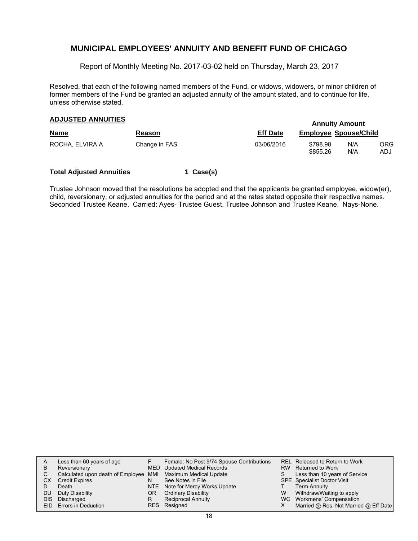Report of Monthly Meeting No. 2017-03-02 held on Thursday, March 23, 2017

Resolved, that each of the following named members of the Fund, or widows, widowers, or minor children of former members of the Fund be granted an adjusted annuity of the amount stated, and to continue for life, unless otherwise stated.

### **Annuity Amount ADJUSTED ANNUITIES**

| <b>Name</b>     | Reason        | <b>Eff Date</b> | <b>Employee Spouse/Child</b> |            |             |  |  |
|-----------------|---------------|-----------------|------------------------------|------------|-------------|--|--|
| ROCHA, ELVIRA A | Change in FAS | 03/06/2016      | \$798.98<br>\$855.26         | N/A<br>N/A | DRG.<br>ADJ |  |  |

#### **Total Adjusted Annuities 1 Case(s)**

Trustee Johnson moved that the resolutions be adopted and that the applicants be granted employee, widow(er), child, reversionary, or adjusted annuities for the period and at the rates stated opposite their respective names. Seconded Trustee Keane. Carried: Ayes- Trustee Guest, Trustee Johnson and Trustee Keane. Nays-None.

|    | Less than 60 years of age                                    |     | Female: No Post 9/74 Spouse Contributions |   | REL Released to Return to Work        |
|----|--------------------------------------------------------------|-----|-------------------------------------------|---|---------------------------------------|
| B  | Reversionary                                                 |     | MED Updated Medical Records               |   | RW Returned to Work                   |
| C. | Calculated upon death of Employee MMI Maximum Medical Update |     |                                           |   | Less than 10 years of Service         |
| СX | <b>Credit Expires</b>                                        | N   | See Notes in File                         |   | <b>SPE</b> Specialist Doctor Visit    |
|    | Death                                                        |     | NTE Note for Mercy Works Update           |   | Term Annuity                          |
| DU | Duty Disability                                              | OR. | <b>Ordinary Disability</b>                | W | Withdraw/Waiting to apply             |
|    | DIS Discharged                                               | R   | <b>Reciprocal Annuity</b>                 |   | WC Workmens' Compensation             |
|    | EID Errors in Deduction                                      |     | RES Resigned                              |   | Married @ Res, Not Married @ Eff Date |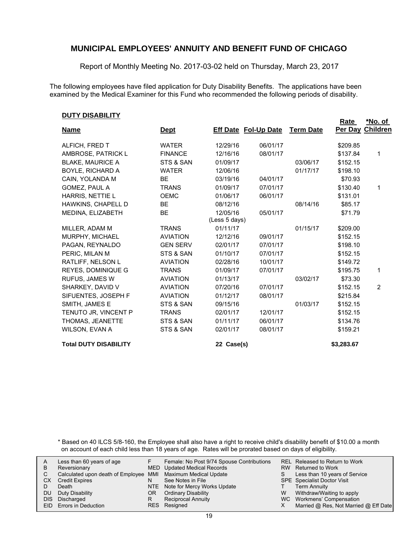Report of Monthly Meeting No. 2017-03-02 held on Thursday, March 23, 2017

The following employees have filed application for Duty Disability Benefits. The applications have been examined by the Medical Examiner for this Fund who recommended the following periods of disability.

#### **DUTY DISABILITY**

|                              |                 |                             |          |                  | <u>Rate</u> | <u>*No. of</u>   |
|------------------------------|-----------------|-----------------------------|----------|------------------|-------------|------------------|
| <b>Name</b>                  | <u>Dept</u>     | <b>Eff Date Fol-Up Date</b> |          | <b>Term Date</b> |             | Per Day Children |
| ALFICH, FRED T               | <b>WATER</b>    | 12/29/16                    | 06/01/17 |                  | \$209.85    |                  |
| AMBROSE, PATRICK L           | <b>FINANCE</b>  | 12/16/16                    | 08/01/17 |                  | \$137.84    | 1                |
| <b>BLAKE, MAURICE A</b>      | STS & SAN       | 01/09/17                    |          | 03/06/17         | \$152.15    |                  |
| <b>BOYLE, RICHARD A</b>      | <b>WATER</b>    | 12/06/16                    |          | 01/17/17         | \$198.10    |                  |
| CAIN, YOLANDA M              | BE.             | 03/19/16                    | 04/01/17 |                  | \$70.93     |                  |
| GOMEZ, PAUL A                | <b>TRANS</b>    | 01/09/17                    | 07/01/17 |                  | \$130.40    | 1                |
| HARRIS, NETTIE L             | <b>OEMC</b>     | 01/06/17                    | 06/01/17 |                  | \$131.01    |                  |
| HAWKINS, CHAPELL D           | <b>BE</b>       | 08/12/16                    |          | 08/14/16         | \$85.17     |                  |
| MEDINA, ELIZABETH            | <b>BE</b>       | 12/05/16                    | 05/01/17 |                  | \$71.79     |                  |
|                              |                 | (Less 5 days)               |          |                  |             |                  |
| MILLER, ADAM M               | <b>TRANS</b>    | 01/11/17                    |          | 01/15/17         | \$209.00    |                  |
| MURPHY, MICHAEL              | <b>AVIATION</b> | 12/12/16                    | 09/01/17 |                  | \$152.15    |                  |
| PAGAN, REYNALDO              | <b>GEN SERV</b> | 02/01/17                    | 07/01/17 |                  | \$198.10    |                  |
| PERIC, MILAN M               | STS & SAN       | 01/10/17                    | 07/01/17 |                  | \$152.15    |                  |
| RATLIFF, NELSON L            | <b>AVIATION</b> | 02/28/16                    | 10/01/17 |                  | \$149.72    |                  |
| <b>REYES, DOMINIQUE G</b>    | <b>TRANS</b>    | 01/09/17                    | 07/01/17 |                  | \$195.75    | 1                |
| RUFUS, JAMES W               | <b>AVIATION</b> | 01/13/17                    |          | 03/02/17         | \$73.30     |                  |
| SHARKEY, DAVID V             | <b>AVIATION</b> | 07/20/16                    | 07/01/17 |                  | \$152.15    | 2                |
| SIFUENTES, JOSEPH F          | <b>AVIATION</b> | 01/12/17                    | 08/01/17 |                  | \$215.84    |                  |
| SMITH, JAMES E               | STS & SAN       | 09/15/16                    |          | 01/03/17         | \$152.15    |                  |
| TENUTO JR, VINCENT P         | <b>TRANS</b>    | 02/01/17                    | 12/01/17 |                  | \$152.15    |                  |
| THOMAS, JEANETTE             | STS & SAN       | 01/11/17                    | 06/01/17 |                  | \$134.76    |                  |
| <b>WILSON, EVAN A</b>        | STS & SAN       | 02/01/17                    | 08/01/17 |                  | \$159.21    |                  |
| <b>Total DUTY DISABILITY</b> |                 | 22 Case(s)                  |          |                  | \$3,283.67  |                  |

\* Based on 40 ILCS 5/8-160, the Employee shall also have a right to receive child's disability benefit of \$10.00 a month on account of each child less than 18 years of age. Rates will be prorated based on days of eligibility.

| А   | Less than 60 years of age                                    |    | Female: No Post 9/74 Spouse Contributions |    | REL Released to Return to Work        |
|-----|--------------------------------------------------------------|----|-------------------------------------------|----|---------------------------------------|
| В   | Reversionary                                                 |    | MED Updated Medical Records               |    | RW Returned to Work                   |
|     | Calculated upon death of Employee MMI Maximum Medical Update |    |                                           | S. | Less than 10 years of Service         |
| CХ  | <b>Credit Expires</b>                                        | N  | See Notes in File                         |    | <b>SPE</b> Specialist Doctor Visit    |
|     | Death                                                        |    | NTE Note for Mercy Works Update           |    | <b>Term Annuity</b>                   |
| DU. | Duty Disability                                              | ΟR | <b>Ordinary Disability</b>                | W  | Withdraw/Waiting to apply             |
|     | DIS Discharged                                               | R  | <b>Reciprocal Annuity</b>                 |    | WC Workmens' Compensation             |
|     | EID Errors in Deduction                                      |    | RES Resigned                              |    | Married @ Res, Not Married @ Eff Date |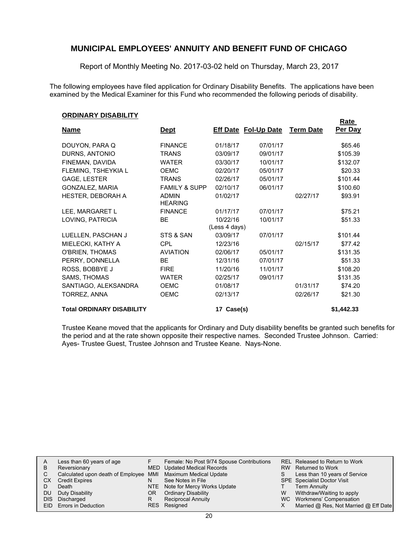Report of Monthly Meeting No. 2017-03-02 held on Thursday, March 23, 2017

The following employees have filed application for Ordinary Disability Benefits. The applications have been examined by the Medical Examiner for this Fund who recommended the following periods of disability.

**Rate** 

#### **ORDINARY DISABILITY**

| <b>Name</b>                      | <u>Dept</u>                    |               | <b>Eff Date Fol-Up Date</b> | <b>Term Date</b> | nalt<br>Per Day |
|----------------------------------|--------------------------------|---------------|-----------------------------|------------------|-----------------|
| DOUYON, PARA Q                   | <b>FINANCE</b>                 | 01/18/17      | 07/01/17                    |                  | \$65.46         |
| DURNS, ANTONIO                   | <b>TRANS</b>                   | 03/09/17      | 09/01/17                    |                  | \$105.39        |
| FINEMAN, DAVIDA                  | <b>WATER</b>                   | 03/30/17      | 10/01/17                    |                  | \$132.07        |
| FLEMING, TSHEYKIA L              | <b>OEMC</b>                    | 02/20/17      | 05/01/17                    |                  | \$20.33         |
| GAGE, LESTER                     | <b>TRANS</b>                   | 02/26/17      | 05/01/17                    |                  | \$101.44        |
| GONZALEZ, MARIA                  | <b>FAMILY &amp; SUPP</b>       | 02/10/17      | 06/01/17                    |                  | \$100.60        |
| HESTER, DEBORAH A                | <b>ADMIN</b><br><b>HEARING</b> | 01/02/17      |                             | 02/27/17         | \$93.91         |
| LEE, MARGARET L                  | <b>FINANCE</b>                 | 01/17/17      | 07/01/17                    |                  | \$75.21         |
| LOVING, PATRICIA                 | BE.                            | 10/22/16      | 10/01/17                    |                  | \$51.33         |
|                                  |                                | (Less 4 days) |                             |                  |                 |
| LUELLEN, PASCHAN J               | STS & SAN                      | 03/09/17      | 07/01/17                    |                  | \$101.44        |
| MIELECKI, KATHY A                | <b>CPL</b>                     | 12/23/16      |                             | 02/15/17         | \$77.42         |
| O'BRIEN, THOMAS                  | <b>AVIATION</b>                | 02/06/17      | 05/01/17                    |                  | \$131.35        |
| PERRY, DONNELLA                  | BE.                            | 12/31/16      | 07/01/17                    |                  | \$51.33         |
| ROSS, BOBBYE J                   | <b>FIRE</b>                    | 11/20/16      | 11/01/17                    |                  | \$108.20        |
| <b>SAMS, THOMAS</b>              | <b>WATER</b>                   | 02/25/17      | 09/01/17                    |                  | \$131.35        |
| SANTIAGO, ALEKSANDRA             | <b>OEMC</b>                    | 01/08/17      |                             | 01/31/17         | \$74.20         |
| TORREZ, ANNA                     | <b>OEMC</b>                    | 02/13/17      |                             | 02/26/17         | \$21.30         |
| <b>Total ORDINARY DISABILITY</b> |                                | 17 Case(s)    |                             |                  | \$1,442.33      |

Trustee Keane moved that the applicants for Ordinary and Duty disability benefits be granted such benefits for the period and at the rate shown opposite their respective names. Seconded Trustee Johnson. Carried: Ayes- Trustee Guest, Trustee Johnson and Trustee Keane. Nays-None.

| A   | Less than 60 years of age                                    |     | Female: No Post 9/74 Spouse Contributions |   | REL Released to Return to Work        |
|-----|--------------------------------------------------------------|-----|-------------------------------------------|---|---------------------------------------|
| B   | Reversionary                                                 |     | MED Updated Medical Records               |   | RW Returned to Work                   |
| C.  | Calculated upon death of Employee MMI Maximum Medical Update |     |                                           |   | Less than 10 years of Service         |
| СX  | Credit Expires                                               | N   | See Notes in File                         |   | <b>SPE</b> Specialist Doctor Visit    |
|     | Death                                                        |     | NTE Note for Mercy Works Update           |   | Term Annuity                          |
| DU. | Duty Disability                                              | OR. | <b>Ordinary Disability</b>                | W | Withdraw/Waiting to apply             |
|     | DIS Discharged                                               |     | Reciprocal Annuity                        |   | WC Workmens' Compensation             |
|     | EID Errors in Deduction                                      |     | RES Resigned                              |   | Married @ Res, Not Married @ Eff Date |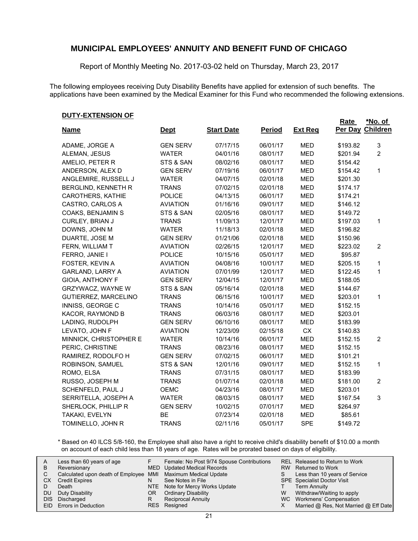Report of Monthly Meeting No. 2017-03-02 held on Thursday, March 23, 2017

The following employees receiving Duty Disability Benefits have applied for extension of such benefits. The applications have been examined by the Medical Examiner for this Fund who recommended the following extensions.

#### **DUTY-EXTENSION OF**

|                            |                 |                   |               |                | <b>Rate</b> | *No. of          |
|----------------------------|-----------------|-------------------|---------------|----------------|-------------|------------------|
| <u>Name</u>                | <u>Dept</u>     | <b>Start Date</b> | <b>Period</b> | <b>Ext Reg</b> |             | Per Day Children |
| ADAME, JORGE A             | <b>GEN SERV</b> | 07/17/15          | 06/01/17      | <b>MED</b>     | \$193.82    | $\sqrt{3}$       |
| ALEMAN, JESUS              | <b>WATER</b>    | 04/01/16          | 08/01/17      | <b>MED</b>     | \$201.94    | $\overline{2}$   |
| AMELIO, PETER R            | STS & SAN       | 08/02/16          | 08/01/17      | <b>MED</b>     | \$154.42    |                  |
| ANDERSON, ALEX D           | <b>GEN SERV</b> | 07/19/16          | 06/01/17      | <b>MED</b>     | \$154.42    | $\mathbf{1}$     |
| ANGLEMIRE, RUSSELL J       | <b>WATER</b>    | 04/07/15          | 02/01/18      | <b>MED</b>     | \$201.30    |                  |
| <b>BERGLIND, KENNETH R</b> | <b>TRANS</b>    | 07/02/15          | 02/01/18      | <b>MED</b>     | \$174.17    |                  |
| <b>CAROTHERS, KATHIE</b>   | <b>POLICE</b>   | 04/13/15          | 06/01/17      | <b>MED</b>     | \$174.21    |                  |
| CASTRO, CARLOS A           | <b>AVIATION</b> | 01/16/16          | 09/01/17      | <b>MED</b>     | \$146.12    |                  |
| COAKS, BENJAMIN S          | STS & SAN       | 02/05/16          | 08/01/17      | <b>MED</b>     | \$149.72    |                  |
| CURLEY, BRIAN J            | <b>TRANS</b>    | 11/09/13          | 12/01/17      | <b>MED</b>     | \$197.03    | 1                |
| DOWNS, JOHN M              | <b>WATER</b>    | 11/18/13          | 02/01/18      | <b>MED</b>     | \$196.82    |                  |
| DUARTE, JOSE M             | <b>GEN SERV</b> | 01/21/06          | 02/01/18      | <b>MED</b>     | \$150.96    |                  |
| FERN, WILLIAM T            | <b>AVIATION</b> | 02/26/15          | 12/01/17      | <b>MED</b>     | \$223.02    | $\overline{c}$   |
| FERRO, JANIE I             | <b>POLICE</b>   | 10/15/16          | 05/01/17      | <b>MED</b>     | \$95.87     |                  |
| FOSTER, KEVIN A            | <b>AVIATION</b> | 04/08/16          | 10/01/17      | <b>MED</b>     | \$205.15    | 1                |
| <b>GARLAND, LARRY A</b>    | <b>AVIATION</b> | 07/01/99          | 12/01/17      | <b>MED</b>     | \$122.45    | 1                |
| <b>GIOIA, ANTHONY F</b>    | <b>GEN SERV</b> | 12/04/15          | 12/01/17      | <b>MED</b>     | \$188.05    |                  |
| GRZYWACZ, WAYNE W          | STS & SAN       | 05/16/14          | 02/01/18      | <b>MED</b>     | \$144.67    |                  |
| GUTIERREZ, MARCELINO       | <b>TRANS</b>    | 06/15/16          | 10/01/17      | <b>MED</b>     | \$203.01    | 1                |
| INNISS, GEORGE C           | <b>TRANS</b>    | 10/14/16          | 05/01/17      | <b>MED</b>     | \$152.15    |                  |
| KACOR, RAYMOND B           | <b>TRANS</b>    | 06/03/16          | 08/01/17      | <b>MED</b>     | \$203.01    |                  |
| LADING, RUDOLPH            | <b>GEN SERV</b> | 06/10/16          | 08/01/17      | <b>MED</b>     | \$183.99    |                  |
| LEVATO, JOHN F             | <b>AVIATION</b> | 12/23/09          | 02/15/18      | <b>CX</b>      | \$140.83    |                  |
| MINNICK, CHRISTOPHER E     | <b>WATER</b>    | 10/14/16          | 06/01/17      | <b>MED</b>     | \$152.15    | 2                |
| PERIC, CHRISTINE           | <b>TRANS</b>    | 08/23/16          | 08/01/17      | <b>MED</b>     | \$152.15    |                  |
| RAMIREZ, RODOLFO H         | <b>GEN SERV</b> | 07/02/15          | 06/01/17      | <b>MED</b>     | \$101.21    |                  |
| ROBINSON, SAMUEL           | STS & SAN       | 12/01/16          | 09/01/17      | <b>MED</b>     | \$152.15    | 1                |
| ROMO, ELSA                 | <b>TRANS</b>    | 07/31/15          | 08/01/17      | <b>MED</b>     | \$183.99    |                  |
| RUSSO, JOSEPH M            | <b>TRANS</b>    | 01/07/14          | 02/01/18      | <b>MED</b>     | \$181.00    | $\overline{c}$   |
| SCHENFELD, PAUL J          | <b>OEMC</b>     | 04/23/16          | 08/01/17      | <b>MED</b>     | \$203.01    |                  |
| SERRITELLA, JOSEPH A       | <b>WATER</b>    | 08/03/15          | 08/01/17      | <b>MED</b>     | \$167.54    | 3                |
| SHERLOCK, PHILLIP R        | <b>GEN SERV</b> | 10/02/15          | 07/01/17      | <b>MED</b>     | \$264.97    |                  |
| TAKAKI, EVELYN             | <b>BE</b>       | 07/23/14          | 02/01/18      | <b>MED</b>     | \$85.61     |                  |
| TOMINELLO, JOHN R          | <b>TRANS</b>    | 02/11/16          | 05/01/17      | <b>SPE</b>     | \$149.72    |                  |

\* Based on 40 ILCS 5/8-160, the Employee shall also have a right to receive child's disability benefit of \$10.00 a month on account of each child less than 18 years of age. Rates will be prorated based on days of eligibility.

| A  | Less than 60 years of age                                    |     | Female: No Post 9/74 Spouse Contributions |   | REL Released to Return to Work        |
|----|--------------------------------------------------------------|-----|-------------------------------------------|---|---------------------------------------|
| В  | Reversionary                                                 |     | MED Updated Medical Records               |   | RW Returned to Work                   |
|    | Calculated upon death of Employee MMI Maximum Medical Update |     |                                           | S | Less than 10 years of Service         |
| СX | <b>Credit Expires</b>                                        | N   | See Notes in File                         |   | <b>SPE</b> Specialist Doctor Visit    |
|    | Death                                                        |     | NTE Note for Mercy Works Update           |   | <b>Term Annuity</b>                   |
| DU | Duty Disability                                              | OR. | <b>Ordinary Disability</b>                | W | Withdraw/Waiting to apply             |
|    | DIS Discharged                                               | R   | <b>Reciprocal Annuity</b>                 |   | WC Workmens' Compensation             |
|    | EID Errors in Deduction                                      |     | RES Resigned                              |   | Married @ Res, Not Married @ Eff Date |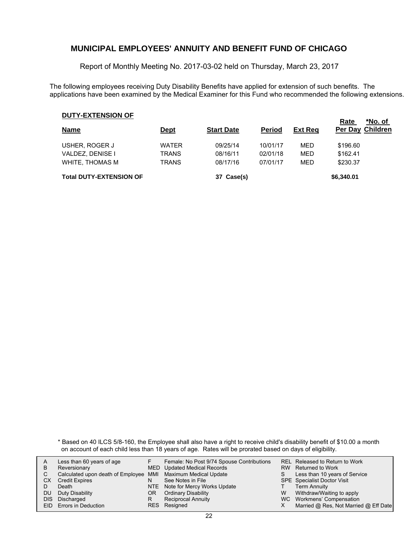Report of Monthly Meeting No. 2017-03-02 held on Thursday, March 23, 2017

The following employees receiving Duty Disability Benefits have applied for extension of such benefits. The applications have been examined by the Medical Examiner for this Fund who recommended the following extensions.

#### **DUTY-EXTENSION OF**

| <b>Name</b>                    | <u>Dept</u>  | <b>Start Date</b> | <b>Period</b> | <b>Ext Reg</b> | Rate<br>Per Day Children | *No. of |
|--------------------------------|--------------|-------------------|---------------|----------------|--------------------------|---------|
| USHER, ROGER J                 | <b>WATER</b> | 09/25/14          | 10/01/17      | MED            | \$196.60                 |         |
| VALDEZ, DENISE I               | <b>TRANS</b> | 08/16/11          | 02/01/18      | MED            | \$162.41                 |         |
| WHITE, THOMAS M                | TRANS        | 08/17/16          | 07/01/17      | MED            | \$230.37                 |         |
| <b>Total DUTY-EXTENSION OF</b> |              | 37 Case(s)        |               |                | \$6,340.01               |         |

\* Based on 40 ILCS 5/8-160, the Employee shall also have a right to receive child's disability benefit of \$10.00 a month on account of each child less than 18 years of age. Rates will be prorated based on days of eligibility.

| А  | Less than 60 years of age                                    |    | Female: No Post 9/74 Spouse Contributions |    | REL Released to Return to Work        |
|----|--------------------------------------------------------------|----|-------------------------------------------|----|---------------------------------------|
| В  | Reversionary                                                 |    | MED Updated Medical Records               |    | RW Returned to Work                   |
|    | Calculated upon death of Employee MMI Maximum Medical Update |    |                                           | S. | Less than 10 years of Service         |
| CХ | <b>Credit Expires</b>                                        | N  | See Notes in File                         |    | <b>SPE</b> Specialist Doctor Visit    |
|    | Death                                                        |    | NTE Note for Mercy Works Update           |    | <b>Term Annuity</b>                   |
| DU | Duty Disability                                              | 0R | <b>Ordinary Disability</b>                | W  | Withdraw/Waiting to apply             |
|    | DIS Discharged                                               |    | Reciprocal Annuity                        |    | WC Workmens' Compensation             |
|    | EID Errors in Deduction                                      |    | RES Resigned                              |    | Married @ Res, Not Married @ Eff Date |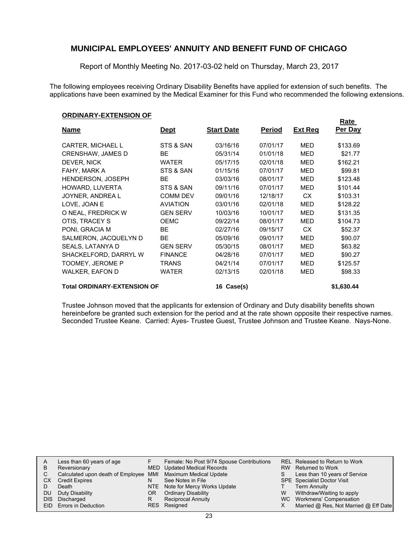Report of Monthly Meeting No. 2017-03-02 held on Thursday, March 23, 2017

The following employees receiving Ordinary Disability Benefits have applied for extension of such benefits. The applications have been examined by the Medical Examiner for this Fund who recommended the following extensions.

#### **ORDINARY-EXTENSION OF**

|                                    |                 |                   |               |                | <u>Rate</u> |
|------------------------------------|-----------------|-------------------|---------------|----------------|-------------|
| <b>Name</b>                        | <u>Dept</u>     | <b>Start Date</b> | <u>Period</u> | <b>Ext Reg</b> | Per Day     |
| <b>CARTER, MICHAEL L</b>           | STS & SAN       | 03/16/16          | 07/01/17      | MED            | \$133.69    |
| <b>CRENSHAW, JAMES D</b>           | <b>BE</b>       | 05/31/14          | 01/01/18      | MED            | \$21.77     |
| DEVER, NICK                        | <b>WATER</b>    | 05/17/15          | 02/01/18      | MED            | \$162.21    |
| FAHY, MARK A                       | STS & SAN       | 01/15/16          | 07/01/17      | MED            | \$99.81     |
| <b>HENDERSON, JOSEPH</b>           | BE              | 03/03/16          | 08/01/17      | MED            | \$123.48    |
| HOWARD, LUVERTA                    | STS & SAN       | 09/11/16          | 07/01/17      | MED            | \$101.44    |
| JOYNER, ANDREA L                   | <b>COMM DEV</b> | 09/01/16          | 12/18/17      | <b>CX</b>      | \$103.31    |
| LOVE. JOAN E                       | <b>AVIATION</b> | 03/01/16          | 02/01/18      | MED            | \$128.22    |
| O NEAL, FREDRICK W                 | <b>GEN SERV</b> | 10/03/16          | 10/01/17      | MED            | \$131.35    |
| OTIS, TRACEY S                     | <b>OEMC</b>     | 09/22/14          | 08/01/17      | MED            | \$104.73    |
| PONI, GRACIA M                     | <b>BE</b>       | 02/27/16          | 09/15/17      | CX.            | \$52.37     |
| SALMERON, JACQUELYN D              | <b>BE</b>       | 05/09/16          | 09/01/17      | MED            | \$90.07     |
| SEALS, LATANYA D                   | <b>GEN SERV</b> | 05/30/15          | 08/01/17      | MED            | \$63.82     |
| SHACKELFORD, DARRYL W              | <b>FINANCE</b>  | 04/28/16          | 07/01/17      | MED            | \$90.27     |
| TOOMEY, JEROME P                   | TRANS           | 04/21/14          | 07/01/17      | MED            | \$125.57    |
| <b>WALKER, EAFON D</b>             | <b>WATER</b>    | 02/13/15          | 02/01/18      | MED            | \$98.33     |
| <b>Total ORDINARY-EXTENSION OF</b> |                 | 16 Case(s)        |               |                | \$1,630.44  |

Trustee Johnson moved that the applicants for extension of Ordinary and Duty disability benefits shown hereinbefore be granted such extension for the period and at the rate shown opposite their respective names. Seconded Trustee Keane. Carried: Ayes- Trustee Guest, Trustee Johnson and Trustee Keane. Nays-None.

| A    | Less than 60 years of age                                    |     | Female: No Post 9/74 Spouse Contributions |   | REL Released to Return to Work        |
|------|--------------------------------------------------------------|-----|-------------------------------------------|---|---------------------------------------|
| в    | Reversionary                                                 |     | MED Updated Medical Records               |   | RW Returned to Work                   |
|      | Calculated upon death of Employee MMI Maximum Medical Update |     |                                           | S | Less than 10 years of Service         |
| СX   | <b>Credit Expires</b>                                        |     | See Notes in File                         |   | SPE Specialist Doctor Visit           |
|      | Death                                                        |     | NTE Note for Mercy Works Update           |   | <b>Term Annuity</b>                   |
| DU   | Duty Disability                                              | OR. | <b>Ordinary Disability</b>                | W | Withdraw/Waiting to apply             |
| DIS. | Discharged                                                   |     | Reciprocal Annuity                        |   | WC Workmens' Compensation             |
|      | EID Errors in Deduction                                      |     | RES Resigned                              |   | Married @ Res, Not Married @ Eff Date |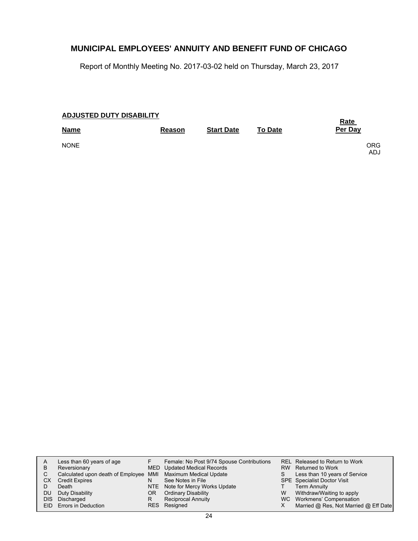Report of Monthly Meeting No. 2017-03-02 held on Thursday, March 23, 2017

| <b>ADJUSTED DUTY DISABILITY</b> | <b>Rate</b>   |                   |                |                   |
|---------------------------------|---------------|-------------------|----------------|-------------------|
| <b>Name</b>                     | <b>Reason</b> | <b>Start Date</b> | <b>To Date</b> | Per Day           |
| <b>NONE</b>                     |               |                   |                | <b>ORG</b><br>ADJ |

| A<br>B<br>СX<br>DU. | Less than 60 years of age<br>Reversionary<br>Calculated upon death of Employee MMI Maximum Medical Update<br><b>Credit Expires</b><br>Death<br>Duty Disability<br>DIS Discharged<br>EID Errors in Deduction | N<br>OR.<br>R | Female: No Post 9/74 Spouse Contributions<br>MED Updated Medical Records<br>See Notes in File<br>NTE Note for Mercy Works Update<br><b>Ordinary Disability</b><br><b>Reciprocal Annuity</b><br>RES Resigned | W | REL Released to Return to Work<br>RW Returned to Work<br>Less than 10 years of Service<br>SPE Specialist Doctor Visit<br><b>Term Annuity</b><br>Withdraw/Waiting to apply<br>WC Workmens' Compensation<br>Married @ Res, Not Married @ Eff Date |
|---------------------|-------------------------------------------------------------------------------------------------------------------------------------------------------------------------------------------------------------|---------------|-------------------------------------------------------------------------------------------------------------------------------------------------------------------------------------------------------------|---|-------------------------------------------------------------------------------------------------------------------------------------------------------------------------------------------------------------------------------------------------|
|---------------------|-------------------------------------------------------------------------------------------------------------------------------------------------------------------------------------------------------------|---------------|-------------------------------------------------------------------------------------------------------------------------------------------------------------------------------------------------------------|---|-------------------------------------------------------------------------------------------------------------------------------------------------------------------------------------------------------------------------------------------------|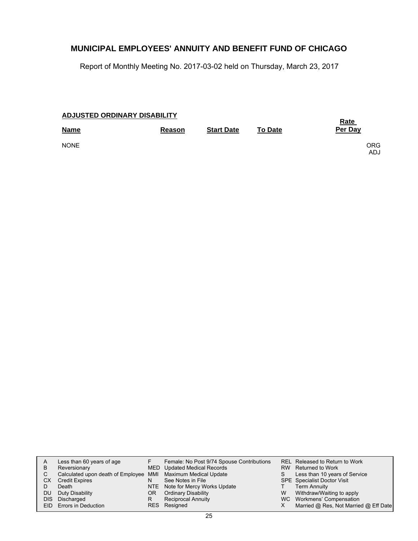Report of Monthly Meeting No. 2017-03-02 held on Thursday, March 23, 2017

| <b>ADJUSTED ORDINARY DISABILITY</b> |        | <b>Rate</b>       |                |             |
|-------------------------------------|--------|-------------------|----------------|-------------|
| <b>Name</b>                         | Reason | <b>Start Date</b> | <b>To Date</b> | Per Day     |
| <b>NONE</b>                         |        |                   |                | ORG.<br>ADJ |

| A<br>B<br>СX<br>DU. | Less than 60 years of age<br>Reversionary<br>Calculated upon death of Employee MMI Maximum Medical Update<br><b>Credit Expires</b><br>Death<br>Duty Disability<br>DIS Discharged<br>EID Errors in Deduction | N<br>OR.<br>R | Female: No Post 9/74 Spouse Contributions<br>MED Updated Medical Records<br>See Notes in File<br>NTE Note for Mercy Works Update<br><b>Ordinary Disability</b><br><b>Reciprocal Annuity</b><br>RES Resigned | W | REL Released to Return to Work<br>RW Returned to Work<br>Less than 10 years of Service<br>SPE Specialist Doctor Visit<br><b>Term Annuity</b><br>Withdraw/Waiting to apply<br>WC Workmens' Compensation<br>Married @ Res, Not Married @ Eff Date |
|---------------------|-------------------------------------------------------------------------------------------------------------------------------------------------------------------------------------------------------------|---------------|-------------------------------------------------------------------------------------------------------------------------------------------------------------------------------------------------------------|---|-------------------------------------------------------------------------------------------------------------------------------------------------------------------------------------------------------------------------------------------------|
|---------------------|-------------------------------------------------------------------------------------------------------------------------------------------------------------------------------------------------------------|---------------|-------------------------------------------------------------------------------------------------------------------------------------------------------------------------------------------------------------|---|-------------------------------------------------------------------------------------------------------------------------------------------------------------------------------------------------------------------------------------------------|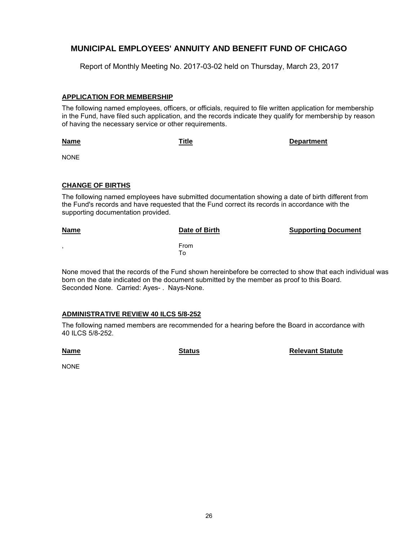Report of Monthly Meeting No. 2017-03-02 held on Thursday, March 23, 2017

### **APPLICATION FOR MEMBERSHIP**

The following named employees, officers, or officials, required to file written application for membership in the Fund, have filed such application, and the records indicate they qualify for membership by reason of having the necessary service or other requirements.

**Name**

**Title Department**

NONE

### **CHANGE OF BIRTHS**

The following named employees have submitted documentation showing a date of birth different from the Fund's records and have requested that the Fund correct its records in accordance with the supporting documentation provided.

| <b>Name</b> | Date of Birth | <b>Supporting Document</b> |
|-------------|---------------|----------------------------|
|             | From<br>Tη.   |                            |

None moved that the records of the Fund shown hereinbefore be corrected to show that each individual was born on the date indicated on the document submitted by the member as proof to this Board. Seconded None. Carried: Ayes- . Nays-None.

### **ADMINISTRATIVE REVIEW 40 ILCS 5/8-252**

The following named members are recommended for a hearing before the Board in accordance with 40 ILCS 5/8-252.

**Name**

**Status Relevant Statute**

NONE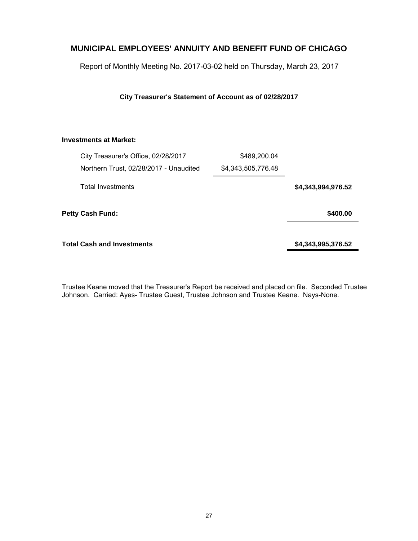Report of Monthly Meeting No. 2017-03-02 held on Thursday, March 23, 2017

**City Treasurer's Statement of Account as of 02/28/2017**

### **Investments at Market:**

|                    | \$489,200.04       | City Treasurer's Office, 02/28/2017    |  |
|--------------------|--------------------|----------------------------------------|--|
|                    | \$4,343,505,776.48 | Northern Trust, 02/28/2017 - Unaudited |  |
| \$4,343,994,976.52 |                    | <b>Total Investments</b>               |  |
| \$400.00           |                    | <b>Petty Cash Fund:</b>                |  |
| \$4,343,995,376.52 |                    | <b>Total Cash and Investments</b>      |  |

Trustee Keane moved that the Treasurer's Report be received and placed on file. Seconded Trustee Johnson. Carried: Ayes- Trustee Guest, Trustee Johnson and Trustee Keane. Nays-None.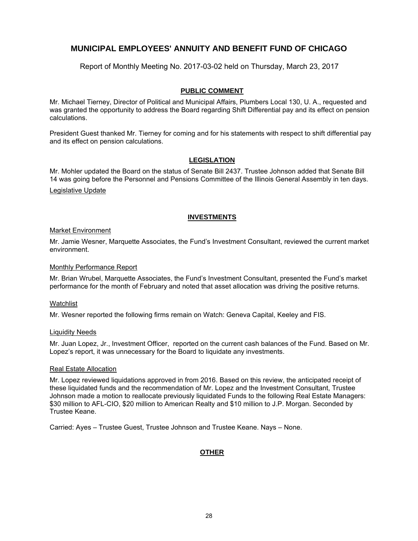Report of Monthly Meeting No. 2017-03-02 held on Thursday, March 23, 2017

### **PUBLIC COMMENT**

Mr. Michael Tierney, Director of Political and Municipal Affairs, Plumbers Local 130, U. A., requested and was granted the opportunity to address the Board regarding Shift Differential pay and its effect on pension calculations.

President Guest thanked Mr. Tierney for coming and for his statements with respect to shift differential pay and its effect on pension calculations.

### **LEGISLATION**

Mr. Mohler updated the Board on the status of Senate Bill 2437. Trustee Johnson added that Senate Bill 14 was going before the Personnel and Pensions Committee of the Illinois General Assembly in ten days.

Legislative Update

### **INVESTMENTS**

#### Market Environment

Mr. Jamie Wesner, Marquette Associates, the Fund's Investment Consultant, reviewed the current market environment.

#### Monthly Performance Report

Mr. Brian Wrubel, Marquette Associates, the Fund's Investment Consultant, presented the Fund's market performance for the month of February and noted that asset allocation was driving the positive returns.

#### **Watchlist**

Mr. Wesner reported the following firms remain on Watch: Geneva Capital, Keeley and FIS.

#### Liquidity Needs

Mr. Juan Lopez, Jr., Investment Officer, reported on the current cash balances of the Fund. Based on Mr. Lopez's report, it was unnecessary for the Board to liquidate any investments.

#### Real Estate Allocation

Mr. Lopez reviewed liquidations approved in from 2016. Based on this review, the anticipated receipt of these liquidated funds and the recommendation of Mr. Lopez and the Investment Consultant, Trustee Johnson made a motion to reallocate previously liquidated Funds to the following Real Estate Managers: \$30 million to AFL-CIO, \$20 million to American Realty and \$10 million to J.P. Morgan. Seconded by Trustee Keane.

Carried: Ayes – Trustee Guest, Trustee Johnson and Trustee Keane. Nays – None.

### **OTHER**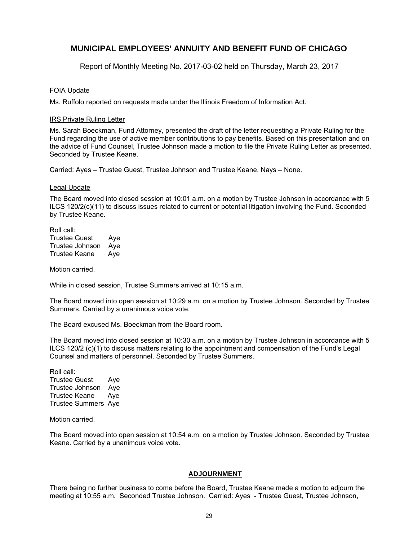Report of Monthly Meeting No. 2017-03-02 held on Thursday, March 23, 2017

### FOIA Update

Ms. Ruffolo reported on requests made under the Illinois Freedom of Information Act.

#### IRS Private Ruling Letter

Ms. Sarah Boeckman, Fund Attorney, presented the draft of the letter requesting a Private Ruling for the Fund regarding the use of active member contributions to pay benefits. Based on this presentation and on the advice of Fund Counsel, Trustee Johnson made a motion to file the Private Ruling Letter as presented. Seconded by Trustee Keane.

Carried: Ayes – Trustee Guest, Trustee Johnson and Trustee Keane. Nays – None.

#### Legal Update

The Board moved into closed session at 10:01 a.m. on a motion by Trustee Johnson in accordance with 5 ILCS 120/2(c)(11) to discuss issues related to current or potential litigation involving the Fund. Seconded by Trustee Keane.

Roll call: Trustee Guest Aye Trustee Johnson Aye Trustee Keane Aye

Motion carried.

While in closed session, Trustee Summers arrived at 10:15 a.m.

The Board moved into open session at 10:29 a.m. on a motion by Trustee Johnson. Seconded by Trustee Summers. Carried by a unanimous voice vote.

The Board excused Ms. Boeckman from the Board room.

The Board moved into closed session at 10:30 a.m. on a motion by Trustee Johnson in accordance with 5 ILCS 120/2 (c)(1) to discuss matters relating to the appointment and compensation of the Fund's Legal Counsel and matters of personnel. Seconded by Trustee Summers.

Roll call: Trustee Guest Aye Trustee Johnson Aye Trustee Keane Aye Trustee Summers Aye

Motion carried.

The Board moved into open session at 10:54 a.m. on a motion by Trustee Johnson. Seconded by Trustee Keane. Carried by a unanimous voice vote.

#### **ADJOURNMENT**

There being no further business to come before the Board, Trustee Keane made a motion to adjourn the meeting at 10:55 a.m. Seconded Trustee Johnson. Carried: Ayes - Trustee Guest, Trustee Johnson,